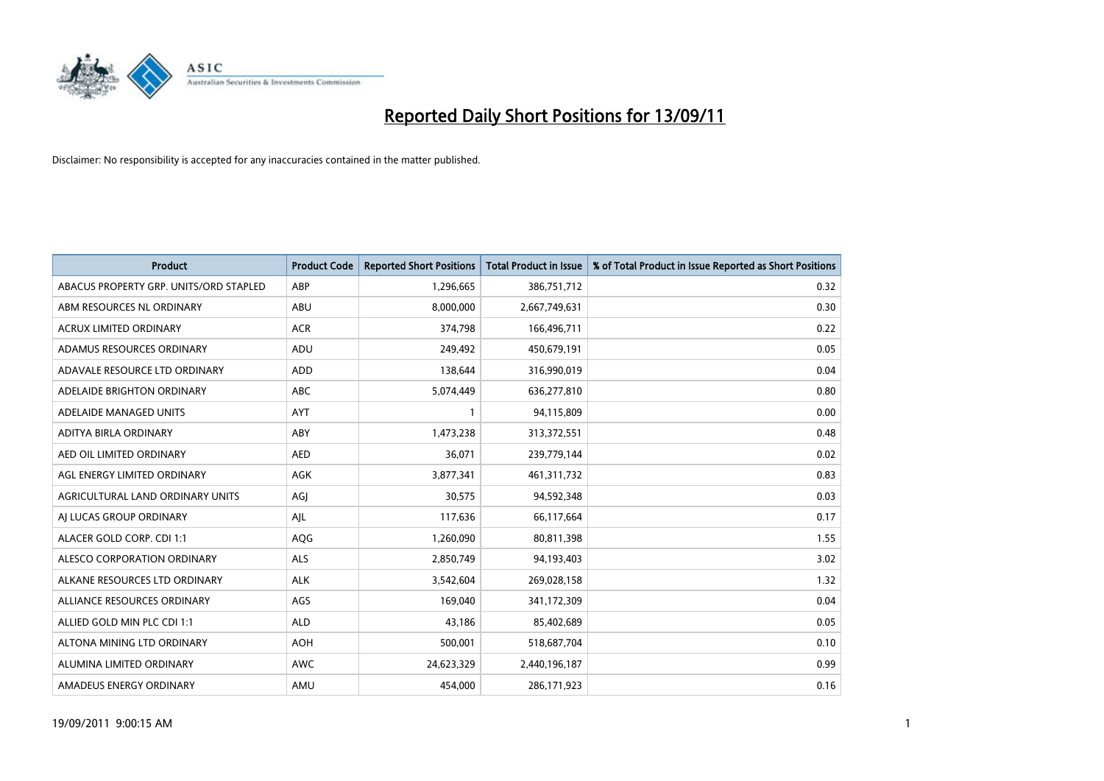

| <b>Product</b>                         | <b>Product Code</b> | <b>Reported Short Positions</b> | Total Product in Issue | % of Total Product in Issue Reported as Short Positions |
|----------------------------------------|---------------------|---------------------------------|------------------------|---------------------------------------------------------|
| ABACUS PROPERTY GRP. UNITS/ORD STAPLED | ABP                 | 1,296,665                       | 386,751,712            | 0.32                                                    |
| ABM RESOURCES NL ORDINARY              | <b>ABU</b>          | 8,000,000                       | 2,667,749,631          | 0.30                                                    |
| <b>ACRUX LIMITED ORDINARY</b>          | <b>ACR</b>          | 374,798                         | 166,496,711            | 0.22                                                    |
| ADAMUS RESOURCES ORDINARY              | ADU                 | 249,492                         | 450,679,191            | 0.05                                                    |
| ADAVALE RESOURCE LTD ORDINARY          | <b>ADD</b>          | 138.644                         | 316,990,019            | 0.04                                                    |
| ADELAIDE BRIGHTON ORDINARY             | <b>ABC</b>          | 5,074,449                       | 636,277,810            | 0.80                                                    |
| ADELAIDE MANAGED UNITS                 | <b>AYT</b>          |                                 | 94,115,809             | 0.00                                                    |
| ADITYA BIRLA ORDINARY                  | ABY                 | 1,473,238                       | 313,372,551            | 0.48                                                    |
| AED OIL LIMITED ORDINARY               | <b>AED</b>          | 36,071                          | 239,779,144            | 0.02                                                    |
| AGL ENERGY LIMITED ORDINARY            | <b>AGK</b>          | 3,877,341                       | 461,311,732            | 0.83                                                    |
| AGRICULTURAL LAND ORDINARY UNITS       | AGJ                 | 30,575                          | 94,592,348             | 0.03                                                    |
| AI LUCAS GROUP ORDINARY                | AJL                 | 117,636                         | 66,117,664             | 0.17                                                    |
| ALACER GOLD CORP. CDI 1:1              | AQG                 | 1,260,090                       | 80,811,398             | 1.55                                                    |
| ALESCO CORPORATION ORDINARY            | <b>ALS</b>          | 2,850,749                       | 94,193,403             | 3.02                                                    |
| ALKANE RESOURCES LTD ORDINARY          | <b>ALK</b>          | 3,542,604                       | 269,028,158            | 1.32                                                    |
| ALLIANCE RESOURCES ORDINARY            | AGS                 | 169.040                         | 341,172,309            | 0.04                                                    |
| ALLIED GOLD MIN PLC CDI 1:1            | <b>ALD</b>          | 43,186                          | 85,402,689             | 0.05                                                    |
| ALTONA MINING LTD ORDINARY             | <b>AOH</b>          | 500,001                         | 518,687,704            | 0.10                                                    |
| ALUMINA LIMITED ORDINARY               | <b>AWC</b>          | 24,623,329                      | 2,440,196,187          | 0.99                                                    |
| AMADEUS ENERGY ORDINARY                | AMU                 | 454.000                         | 286,171,923            | 0.16                                                    |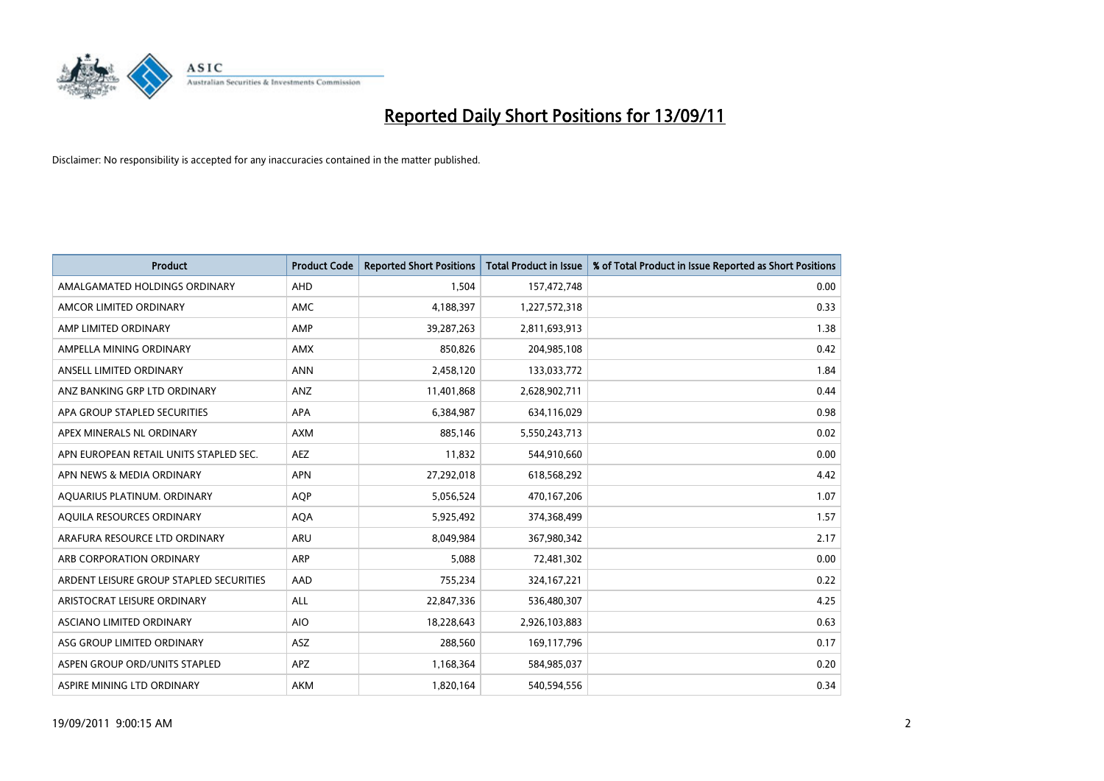

| <b>Product</b>                          | <b>Product Code</b> | <b>Reported Short Positions</b> | Total Product in Issue | % of Total Product in Issue Reported as Short Positions |
|-----------------------------------------|---------------------|---------------------------------|------------------------|---------------------------------------------------------|
| AMALGAMATED HOLDINGS ORDINARY           | <b>AHD</b>          | 1,504                           | 157,472,748            | 0.00                                                    |
| AMCOR LIMITED ORDINARY                  | <b>AMC</b>          | 4,188,397                       | 1,227,572,318          | 0.33                                                    |
| AMP LIMITED ORDINARY                    | AMP                 | 39,287,263                      | 2,811,693,913          | 1.38                                                    |
| AMPELLA MINING ORDINARY                 | <b>AMX</b>          | 850,826                         | 204,985,108            | 0.42                                                    |
| ANSELL LIMITED ORDINARY                 | <b>ANN</b>          | 2,458,120                       | 133,033,772            | 1.84                                                    |
| ANZ BANKING GRP LTD ORDINARY            | ANZ                 | 11,401,868                      | 2,628,902,711          | 0.44                                                    |
| APA GROUP STAPLED SECURITIES            | <b>APA</b>          | 6,384,987                       | 634,116,029            | 0.98                                                    |
| APEX MINERALS NL ORDINARY               | <b>AXM</b>          | 885,146                         | 5,550,243,713          | 0.02                                                    |
| APN EUROPEAN RETAIL UNITS STAPLED SEC.  | <b>AEZ</b>          | 11,832                          | 544,910,660            | 0.00                                                    |
| APN NEWS & MEDIA ORDINARY               | <b>APN</b>          | 27,292,018                      | 618,568,292            | 4.42                                                    |
| AQUARIUS PLATINUM. ORDINARY             | <b>AOP</b>          | 5,056,524                       | 470,167,206            | 1.07                                                    |
| AQUILA RESOURCES ORDINARY               | <b>AQA</b>          | 5,925,492                       | 374,368,499            | 1.57                                                    |
| ARAFURA RESOURCE LTD ORDINARY           | <b>ARU</b>          | 8,049,984                       | 367,980,342            | 2.17                                                    |
| ARB CORPORATION ORDINARY                | <b>ARP</b>          | 5.088                           | 72,481,302             | 0.00                                                    |
| ARDENT LEISURE GROUP STAPLED SECURITIES | AAD                 | 755,234                         | 324, 167, 221          | 0.22                                                    |
| ARISTOCRAT LEISURE ORDINARY             | <b>ALL</b>          | 22,847,336                      | 536,480,307            | 4.25                                                    |
| <b>ASCIANO LIMITED ORDINARY</b>         | <b>AIO</b>          | 18,228,643                      | 2,926,103,883          | 0.63                                                    |
| ASG GROUP LIMITED ORDINARY              | <b>ASZ</b>          | 288,560                         | 169,117,796            | 0.17                                                    |
| ASPEN GROUP ORD/UNITS STAPLED           | APZ                 | 1,168,364                       | 584,985,037            | 0.20                                                    |
| ASPIRE MINING LTD ORDINARY              | <b>AKM</b>          | 1,820,164                       | 540,594,556            | 0.34                                                    |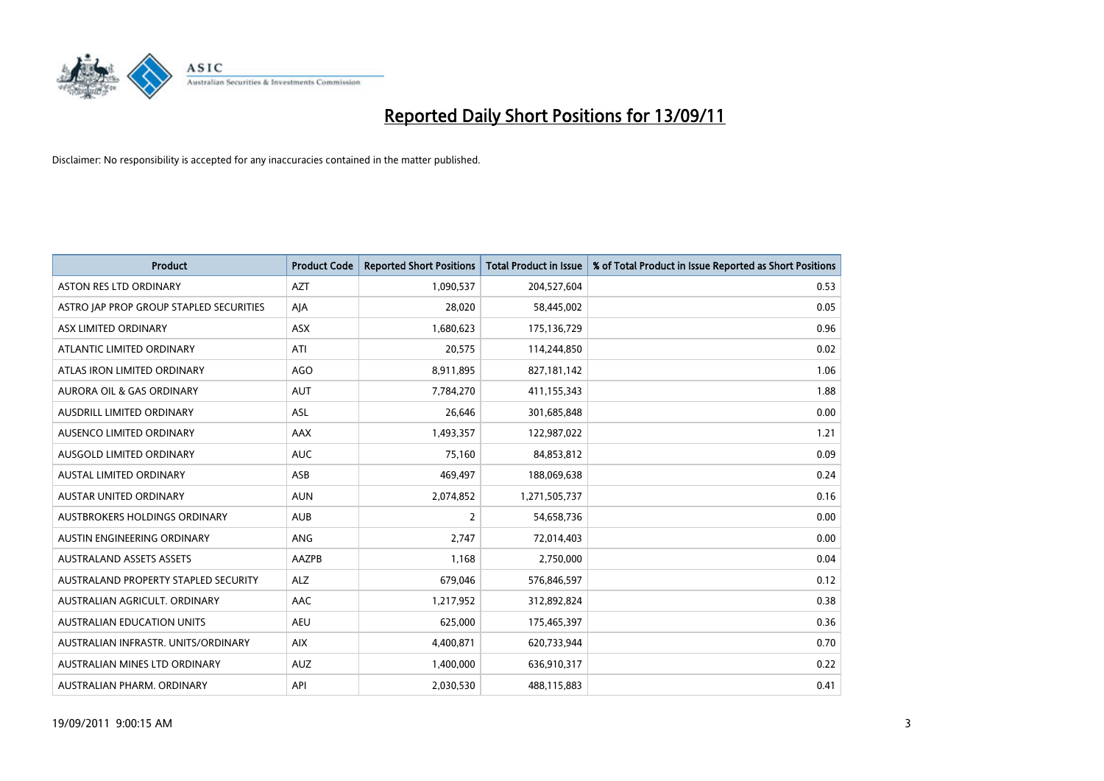

| <b>Product</b>                          | <b>Product Code</b> | <b>Reported Short Positions</b> | Total Product in Issue | % of Total Product in Issue Reported as Short Positions |
|-----------------------------------------|---------------------|---------------------------------|------------------------|---------------------------------------------------------|
| <b>ASTON RES LTD ORDINARY</b>           | <b>AZT</b>          | 1,090,537                       | 204,527,604            | 0.53                                                    |
| ASTRO JAP PROP GROUP STAPLED SECURITIES | AIA                 | 28,020                          | 58,445,002             | 0.05                                                    |
| ASX LIMITED ORDINARY                    | <b>ASX</b>          | 1,680,623                       | 175,136,729            | 0.96                                                    |
| ATLANTIC LIMITED ORDINARY               | ATI                 | 20,575                          | 114,244,850            | 0.02                                                    |
| ATLAS IRON LIMITED ORDINARY             | AGO                 | 8,911,895                       | 827,181,142            | 1.06                                                    |
| <b>AURORA OIL &amp; GAS ORDINARY</b>    | <b>AUT</b>          | 7,784,270                       | 411,155,343            | 1.88                                                    |
| AUSDRILL LIMITED ORDINARY               | <b>ASL</b>          | 26,646                          | 301,685,848            | 0.00                                                    |
| AUSENCO LIMITED ORDINARY                | AAX                 | 1,493,357                       | 122,987,022            | 1.21                                                    |
| AUSGOLD LIMITED ORDINARY                | <b>AUC</b>          | 75,160                          | 84,853,812             | 0.09                                                    |
| <b>AUSTAL LIMITED ORDINARY</b>          | ASB                 | 469,497                         | 188,069,638            | 0.24                                                    |
| AUSTAR UNITED ORDINARY                  | <b>AUN</b>          | 2,074,852                       | 1,271,505,737          | 0.16                                                    |
| AUSTBROKERS HOLDINGS ORDINARY           | <b>AUB</b>          | 2                               | 54,658,736             | 0.00                                                    |
| AUSTIN ENGINEERING ORDINARY             | <b>ANG</b>          | 2,747                           | 72,014,403             | 0.00                                                    |
| <b>AUSTRALAND ASSETS ASSETS</b>         | AAZPB               | 1.168                           | 2,750,000              | 0.04                                                    |
| AUSTRALAND PROPERTY STAPLED SECURITY    | <b>ALZ</b>          | 679,046                         | 576,846,597            | 0.12                                                    |
| AUSTRALIAN AGRICULT, ORDINARY           | <b>AAC</b>          | 1,217,952                       | 312,892,824            | 0.38                                                    |
| <b>AUSTRALIAN EDUCATION UNITS</b>       | <b>AEU</b>          | 625,000                         | 175,465,397            | 0.36                                                    |
| AUSTRALIAN INFRASTR. UNITS/ORDINARY     | <b>AIX</b>          | 4,400,871                       | 620,733,944            | 0.70                                                    |
| AUSTRALIAN MINES LTD ORDINARY           | <b>AUZ</b>          | 1,400,000                       | 636,910,317            | 0.22                                                    |
| AUSTRALIAN PHARM. ORDINARY              | API                 | 2,030,530                       | 488,115,883            | 0.41                                                    |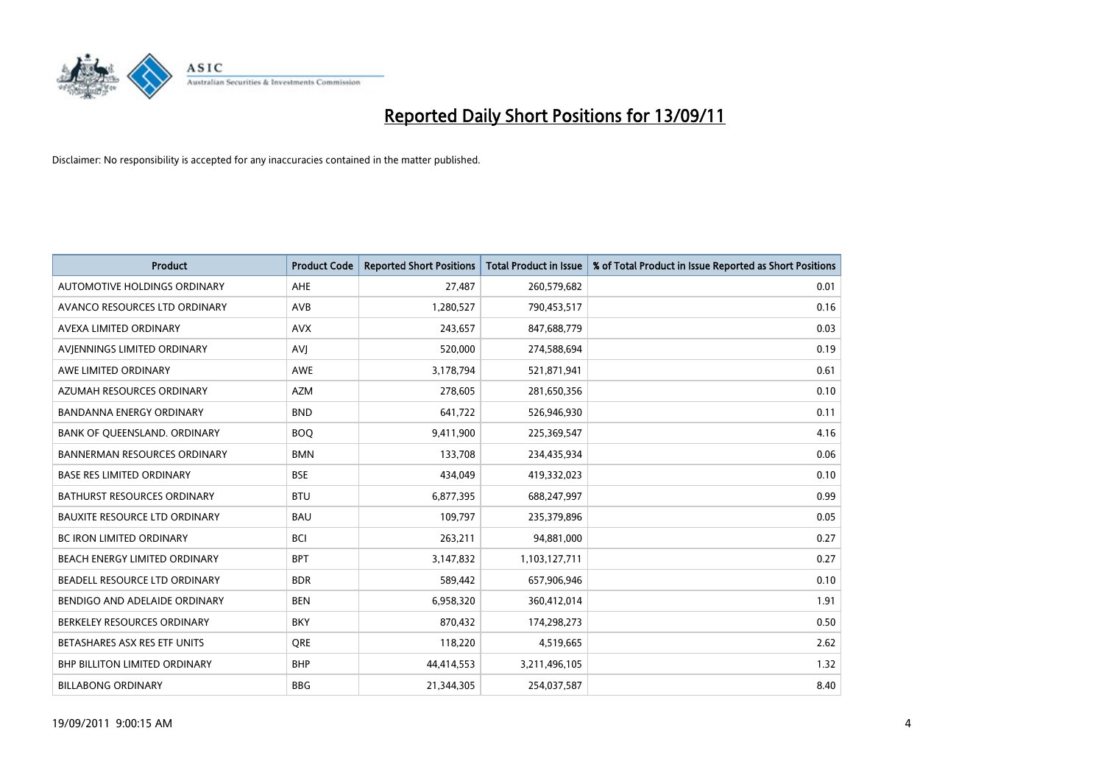

| <b>Product</b>                       | <b>Product Code</b> | <b>Reported Short Positions</b> | <b>Total Product in Issue</b> | % of Total Product in Issue Reported as Short Positions |
|--------------------------------------|---------------------|---------------------------------|-------------------------------|---------------------------------------------------------|
| <b>AUTOMOTIVE HOLDINGS ORDINARY</b>  | <b>AHE</b>          | 27.487                          | 260,579,682                   | 0.01                                                    |
| AVANCO RESOURCES LTD ORDINARY        | <b>AVB</b>          | 1,280,527                       | 790,453,517                   | 0.16                                                    |
| AVEXA LIMITED ORDINARY               | <b>AVX</b>          | 243,657                         | 847,688,779                   | 0.03                                                    |
| AVIENNINGS LIMITED ORDINARY          | <b>AVJ</b>          | 520,000                         | 274,588,694                   | 0.19                                                    |
| AWE LIMITED ORDINARY                 | <b>AWE</b>          | 3,178,794                       | 521,871,941                   | 0.61                                                    |
| AZUMAH RESOURCES ORDINARY            | <b>AZM</b>          | 278,605                         | 281,650,356                   | 0.10                                                    |
| <b>BANDANNA ENERGY ORDINARY</b>      | <b>BND</b>          | 641,722                         | 526,946,930                   | 0.11                                                    |
| BANK OF QUEENSLAND. ORDINARY         | <b>BOO</b>          | 9,411,900                       | 225,369,547                   | 4.16                                                    |
| <b>BANNERMAN RESOURCES ORDINARY</b>  | <b>BMN</b>          | 133,708                         | 234,435,934                   | 0.06                                                    |
| <b>BASE RES LIMITED ORDINARY</b>     | <b>BSE</b>          | 434.049                         | 419,332,023                   | 0.10                                                    |
| BATHURST RESOURCES ORDINARY          | <b>BTU</b>          | 6,877,395                       | 688,247,997                   | 0.99                                                    |
| BAUXITE RESOURCE LTD ORDINARY        | <b>BAU</b>          | 109,797                         | 235,379,896                   | 0.05                                                    |
| <b>BC IRON LIMITED ORDINARY</b>      | <b>BCI</b>          | 263,211                         | 94,881,000                    | 0.27                                                    |
| <b>BEACH ENERGY LIMITED ORDINARY</b> | <b>BPT</b>          | 3,147,832                       | 1,103,127,711                 | 0.27                                                    |
| BEADELL RESOURCE LTD ORDINARY        | <b>BDR</b>          | 589.442                         | 657,906,946                   | 0.10                                                    |
| BENDIGO AND ADELAIDE ORDINARY        | <b>BEN</b>          | 6,958,320                       | 360,412,014                   | 1.91                                                    |
| BERKELEY RESOURCES ORDINARY          | <b>BKY</b>          | 870,432                         | 174,298,273                   | 0.50                                                    |
| BETASHARES ASX RES ETF UNITS         | <b>ORE</b>          | 118,220                         | 4,519,665                     | 2.62                                                    |
| <b>BHP BILLITON LIMITED ORDINARY</b> | <b>BHP</b>          | 44,414,553                      | 3,211,496,105                 | 1.32                                                    |
| <b>BILLABONG ORDINARY</b>            | <b>BBG</b>          | 21,344,305                      | 254,037,587                   | 8.40                                                    |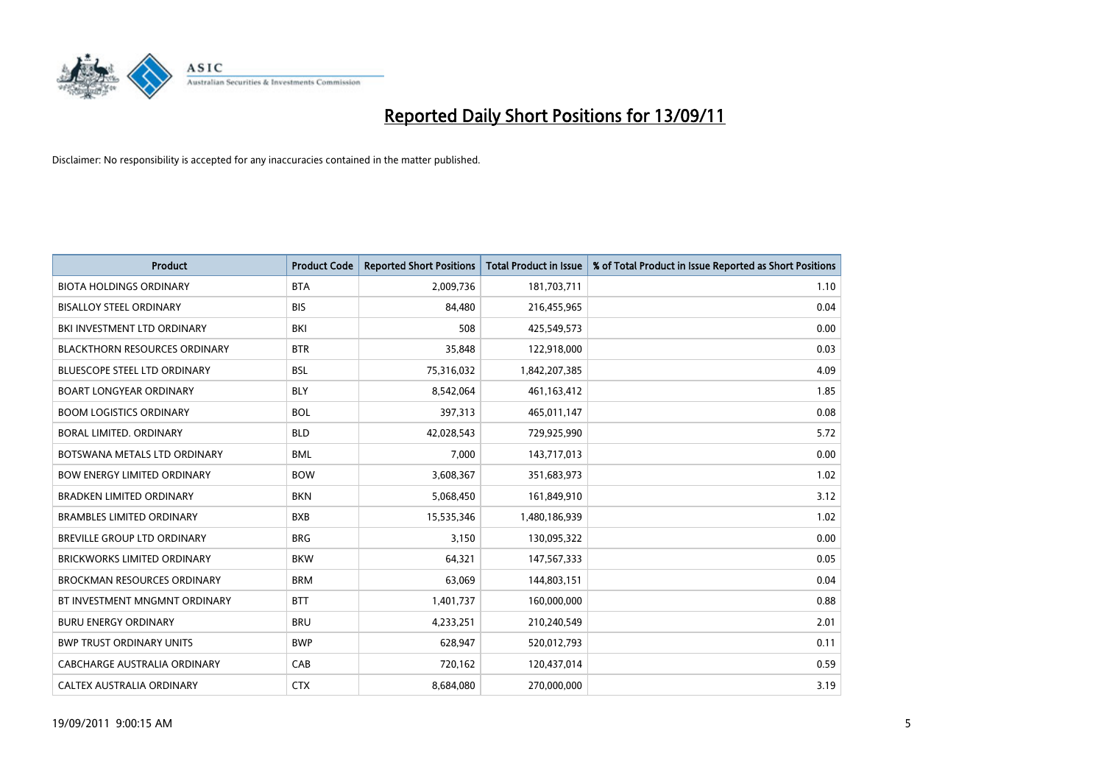

| <b>Product</b>                      | <b>Product Code</b> | <b>Reported Short Positions</b> | <b>Total Product in Issue</b> | % of Total Product in Issue Reported as Short Positions |
|-------------------------------------|---------------------|---------------------------------|-------------------------------|---------------------------------------------------------|
| <b>BIOTA HOLDINGS ORDINARY</b>      | <b>BTA</b>          | 2,009,736                       | 181,703,711                   | 1.10                                                    |
| <b>BISALLOY STEEL ORDINARY</b>      | <b>BIS</b>          | 84,480                          | 216,455,965                   | 0.04                                                    |
| BKI INVESTMENT LTD ORDINARY         | <b>BKI</b>          | 508                             | 425,549,573                   | 0.00                                                    |
| BLACKTHORN RESOURCES ORDINARY       | <b>BTR</b>          | 35,848                          | 122,918,000                   | 0.03                                                    |
| <b>BLUESCOPE STEEL LTD ORDINARY</b> | <b>BSL</b>          | 75,316,032                      | 1,842,207,385                 | 4.09                                                    |
| <b>BOART LONGYEAR ORDINARY</b>      | <b>BLY</b>          | 8,542,064                       | 461,163,412                   | 1.85                                                    |
| <b>BOOM LOGISTICS ORDINARY</b>      | <b>BOL</b>          | 397,313                         | 465,011,147                   | 0.08                                                    |
| BORAL LIMITED. ORDINARY             | <b>BLD</b>          | 42,028,543                      | 729,925,990                   | 5.72                                                    |
| BOTSWANA METALS LTD ORDINARY        | <b>BML</b>          | 7,000                           | 143,717,013                   | 0.00                                                    |
| <b>BOW ENERGY LIMITED ORDINARY</b>  | <b>BOW</b>          | 3,608,367                       | 351,683,973                   | 1.02                                                    |
| <b>BRADKEN LIMITED ORDINARY</b>     | <b>BKN</b>          | 5,068,450                       | 161,849,910                   | 3.12                                                    |
| <b>BRAMBLES LIMITED ORDINARY</b>    | <b>BXB</b>          | 15,535,346                      | 1,480,186,939                 | 1.02                                                    |
| BREVILLE GROUP LTD ORDINARY         | <b>BRG</b>          | 3,150                           | 130,095,322                   | 0.00                                                    |
| <b>BRICKWORKS LIMITED ORDINARY</b>  | <b>BKW</b>          | 64,321                          | 147,567,333                   | 0.05                                                    |
| <b>BROCKMAN RESOURCES ORDINARY</b>  | <b>BRM</b>          | 63,069                          | 144,803,151                   | 0.04                                                    |
| BT INVESTMENT MNGMNT ORDINARY       | <b>BTT</b>          | 1,401,737                       | 160,000,000                   | 0.88                                                    |
| <b>BURU ENERGY ORDINARY</b>         | <b>BRU</b>          | 4,233,251                       | 210,240,549                   | 2.01                                                    |
| <b>BWP TRUST ORDINARY UNITS</b>     | <b>BWP</b>          | 628,947                         | 520,012,793                   | 0.11                                                    |
| CABCHARGE AUSTRALIA ORDINARY        | CAB                 | 720,162                         | 120,437,014                   | 0.59                                                    |
| <b>CALTEX AUSTRALIA ORDINARY</b>    | <b>CTX</b>          | 8,684,080                       | 270,000,000                   | 3.19                                                    |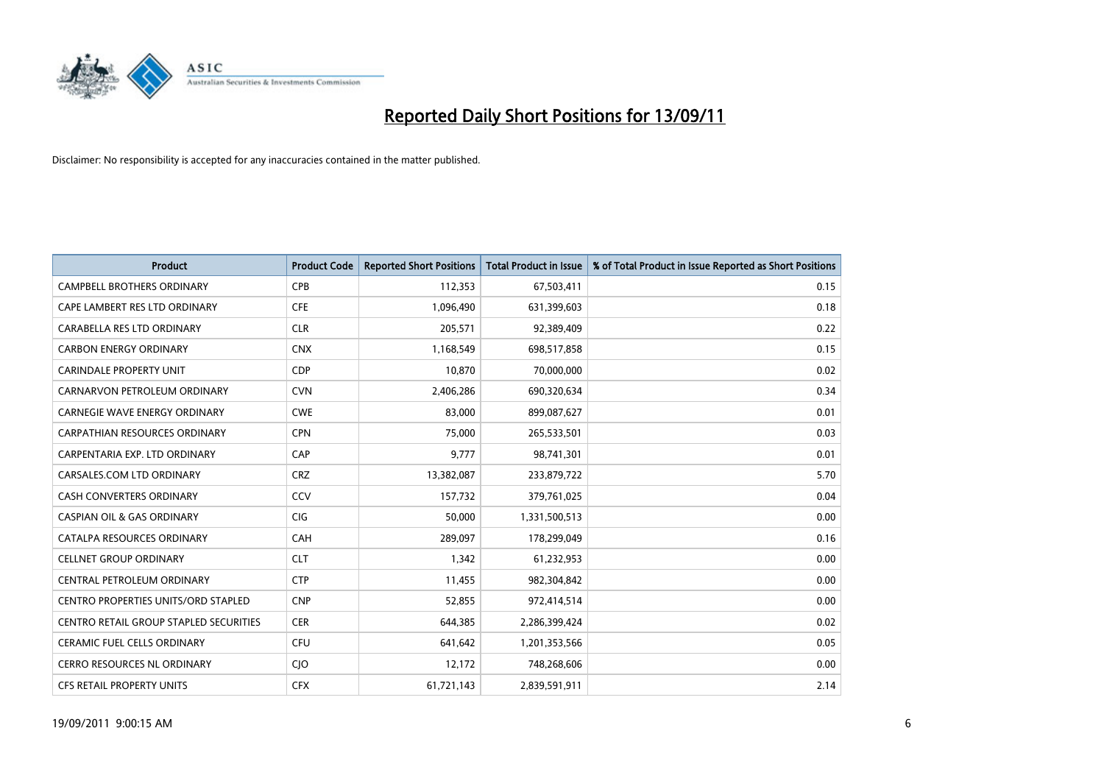

| <b>Product</b>                                | <b>Product Code</b> | <b>Reported Short Positions</b> | Total Product in Issue | % of Total Product in Issue Reported as Short Positions |
|-----------------------------------------------|---------------------|---------------------------------|------------------------|---------------------------------------------------------|
| <b>CAMPBELL BROTHERS ORDINARY</b>             | <b>CPB</b>          | 112,353                         | 67,503,411             | 0.15                                                    |
| CAPE LAMBERT RES LTD ORDINARY                 | <b>CFE</b>          | 1,096,490                       | 631,399,603            | 0.18                                                    |
| CARABELLA RES LTD ORDINARY                    | <b>CLR</b>          | 205,571                         | 92,389,409             | 0.22                                                    |
| <b>CARBON ENERGY ORDINARY</b>                 | <b>CNX</b>          | 1,168,549                       | 698,517,858            | 0.15                                                    |
| <b>CARINDALE PROPERTY UNIT</b>                | <b>CDP</b>          | 10.870                          | 70,000,000             | 0.02                                                    |
| CARNARVON PETROLEUM ORDINARY                  | <b>CVN</b>          | 2,406,286                       | 690,320,634            | 0.34                                                    |
| <b>CARNEGIE WAVE ENERGY ORDINARY</b>          | <b>CWE</b>          | 83.000                          | 899,087,627            | 0.01                                                    |
| <b>CARPATHIAN RESOURCES ORDINARY</b>          | <b>CPN</b>          | 75,000                          | 265,533,501            | 0.03                                                    |
| CARPENTARIA EXP. LTD ORDINARY                 | CAP                 | 9,777                           | 98,741,301             | 0.01                                                    |
| CARSALES.COM LTD ORDINARY                     | <b>CRZ</b>          | 13,382,087                      | 233,879,722            | 5.70                                                    |
| <b>CASH CONVERTERS ORDINARY</b>               | CCV                 | 157,732                         | 379,761,025            | 0.04                                                    |
| <b>CASPIAN OIL &amp; GAS ORDINARY</b>         | <b>CIG</b>          | 50,000                          | 1,331,500,513          | 0.00                                                    |
| CATALPA RESOURCES ORDINARY                    | CAH                 | 289.097                         | 178,299,049            | 0.16                                                    |
| <b>CELLNET GROUP ORDINARY</b>                 | <b>CLT</b>          | 1.342                           | 61,232,953             | 0.00                                                    |
| CENTRAL PETROLEUM ORDINARY                    | <b>CTP</b>          | 11,455                          | 982,304,842            | 0.00                                                    |
| <b>CENTRO PROPERTIES UNITS/ORD STAPLED</b>    | <b>CNP</b>          | 52,855                          | 972,414,514            | 0.00                                                    |
| <b>CENTRO RETAIL GROUP STAPLED SECURITIES</b> | <b>CER</b>          | 644,385                         | 2,286,399,424          | 0.02                                                    |
| CERAMIC FUEL CELLS ORDINARY                   | <b>CFU</b>          | 641,642                         | 1,201,353,566          | 0.05                                                    |
| <b>CERRO RESOURCES NL ORDINARY</b>            | <b>CIO</b>          | 12,172                          | 748,268,606            | 0.00                                                    |
| <b>CFS RETAIL PROPERTY UNITS</b>              | <b>CFX</b>          | 61,721,143                      | 2,839,591,911          | 2.14                                                    |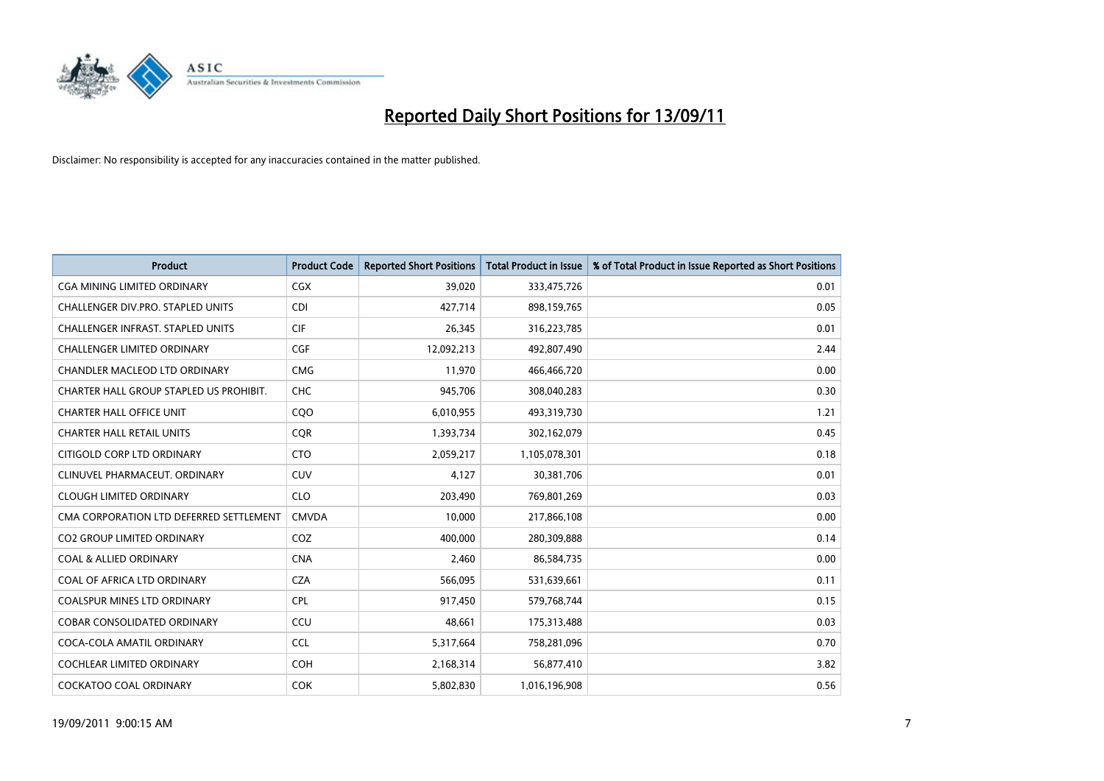

| <b>Product</b>                           | <b>Product Code</b> | <b>Reported Short Positions</b> | Total Product in Issue | % of Total Product in Issue Reported as Short Positions |
|------------------------------------------|---------------------|---------------------------------|------------------------|---------------------------------------------------------|
| <b>CGA MINING LIMITED ORDINARY</b>       | <b>CGX</b>          | 39,020                          | 333,475,726            | 0.01                                                    |
| CHALLENGER DIV.PRO. STAPLED UNITS        | <b>CDI</b>          | 427,714                         | 898,159,765            | 0.05                                                    |
| <b>CHALLENGER INFRAST, STAPLED UNITS</b> | <b>CIF</b>          | 26,345                          | 316,223,785            | 0.01                                                    |
| CHALLENGER LIMITED ORDINARY              | <b>CGF</b>          | 12,092,213                      | 492,807,490            | 2.44                                                    |
| <b>CHANDLER MACLEOD LTD ORDINARY</b>     | <b>CMG</b>          | 11,970                          | 466,466,720            | 0.00                                                    |
| CHARTER HALL GROUP STAPLED US PROHIBIT.  | <b>CHC</b>          | 945.706                         | 308,040,283            | 0.30                                                    |
| <b>CHARTER HALL OFFICE UNIT</b>          | COO                 | 6,010,955                       | 493,319,730            | 1.21                                                    |
| <b>CHARTER HALL RETAIL UNITS</b>         | <b>CQR</b>          | 1,393,734                       | 302,162,079            | 0.45                                                    |
| CITIGOLD CORP LTD ORDINARY               | <b>CTO</b>          | 2,059,217                       | 1,105,078,301          | 0.18                                                    |
| CLINUVEL PHARMACEUT, ORDINARY            | <b>CUV</b>          | 4,127                           | 30,381,706             | 0.01                                                    |
| <b>CLOUGH LIMITED ORDINARY</b>           | <b>CLO</b>          | 203,490                         | 769,801,269            | 0.03                                                    |
| CMA CORPORATION LTD DEFERRED SETTLEMENT  | <b>CMVDA</b>        | 10,000                          | 217,866,108            | 0.00                                                    |
| <b>CO2 GROUP LIMITED ORDINARY</b>        | COZ                 | 400.000                         | 280,309,888            | 0.14                                                    |
| <b>COAL &amp; ALLIED ORDINARY</b>        | <b>CNA</b>          | 2,460                           | 86,584,735             | 0.00                                                    |
| COAL OF AFRICA LTD ORDINARY              | <b>CZA</b>          | 566,095                         | 531,639,661            | 0.11                                                    |
| <b>COALSPUR MINES LTD ORDINARY</b>       | <b>CPL</b>          | 917,450                         | 579,768,744            | 0.15                                                    |
| <b>COBAR CONSOLIDATED ORDINARY</b>       | CCU                 | 48,661                          | 175,313,488            | 0.03                                                    |
| COCA-COLA AMATIL ORDINARY                | <b>CCL</b>          | 5,317,664                       | 758,281,096            | 0.70                                                    |
| <b>COCHLEAR LIMITED ORDINARY</b>         | <b>COH</b>          | 2,168,314                       | 56,877,410             | 3.82                                                    |
| COCKATOO COAL ORDINARY                   | <b>COK</b>          | 5,802,830                       | 1,016,196,908          | 0.56                                                    |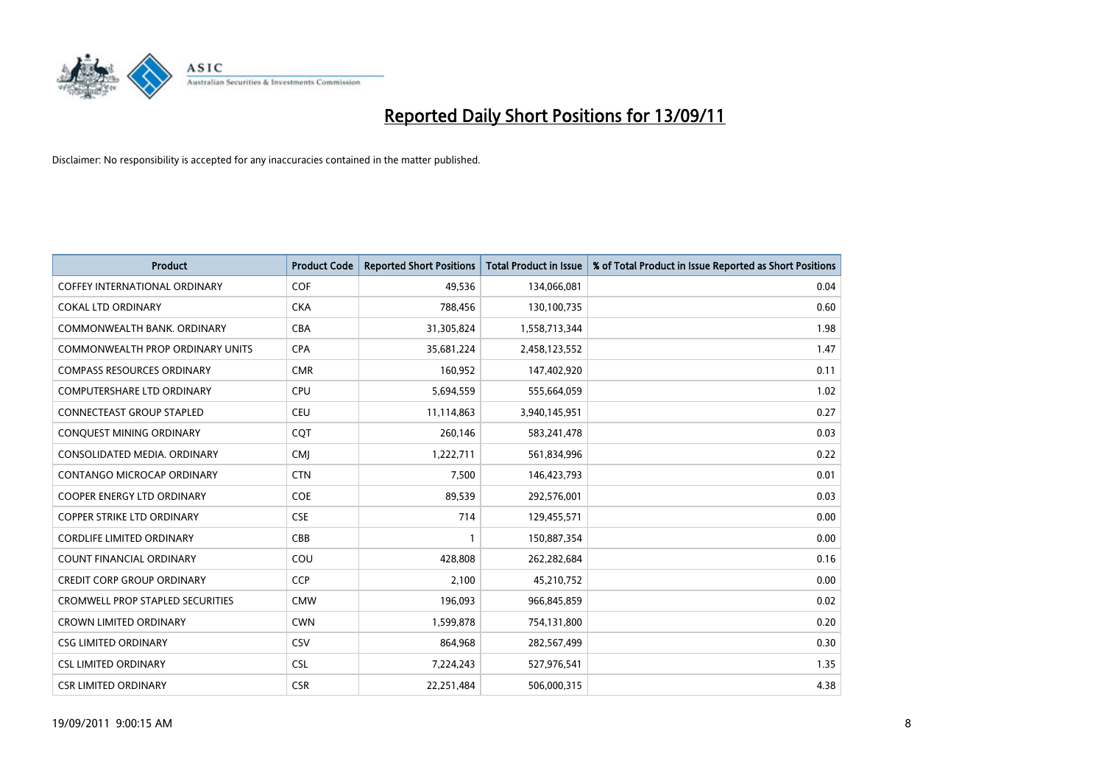

| <b>Product</b>                          | <b>Product Code</b> | <b>Reported Short Positions</b> | Total Product in Issue | % of Total Product in Issue Reported as Short Positions |
|-----------------------------------------|---------------------|---------------------------------|------------------------|---------------------------------------------------------|
| <b>COFFEY INTERNATIONAL ORDINARY</b>    | <b>COF</b>          | 49,536                          | 134,066,081            | 0.04                                                    |
| <b>COKAL LTD ORDINARY</b>               | <b>CKA</b>          | 788,456                         | 130,100,735            | 0.60                                                    |
| COMMONWEALTH BANK, ORDINARY             | <b>CBA</b>          | 31,305,824                      | 1,558,713,344          | 1.98                                                    |
| COMMONWEALTH PROP ORDINARY UNITS        | <b>CPA</b>          | 35,681,224                      | 2,458,123,552          | 1.47                                                    |
| <b>COMPASS RESOURCES ORDINARY</b>       | <b>CMR</b>          | 160,952                         | 147,402,920            | 0.11                                                    |
| <b>COMPUTERSHARE LTD ORDINARY</b>       | <b>CPU</b>          | 5,694,559                       | 555,664,059            | 1.02                                                    |
| <b>CONNECTEAST GROUP STAPLED</b>        | <b>CEU</b>          | 11,114,863                      | 3,940,145,951          | 0.27                                                    |
| CONQUEST MINING ORDINARY                | <b>CQT</b>          | 260,146                         | 583,241,478            | 0.03                                                    |
| CONSOLIDATED MEDIA, ORDINARY            | <b>CMI</b>          | 1,222,711                       | 561,834,996            | 0.22                                                    |
| <b>CONTANGO MICROCAP ORDINARY</b>       | <b>CTN</b>          | 7,500                           | 146,423,793            | 0.01                                                    |
| <b>COOPER ENERGY LTD ORDINARY</b>       | <b>COE</b>          | 89,539                          | 292,576,001            | 0.03                                                    |
| <b>COPPER STRIKE LTD ORDINARY</b>       | <b>CSE</b>          | 714                             | 129,455,571            | 0.00                                                    |
| <b>CORDLIFE LIMITED ORDINARY</b>        | CBB                 |                                 | 150,887,354            | 0.00                                                    |
| <b>COUNT FINANCIAL ORDINARY</b>         | COU                 | 428,808                         | 262,282,684            | 0.16                                                    |
| <b>CREDIT CORP GROUP ORDINARY</b>       | <b>CCP</b>          | 2,100                           | 45,210,752             | 0.00                                                    |
| <b>CROMWELL PROP STAPLED SECURITIES</b> | <b>CMW</b>          | 196,093                         | 966,845,859            | 0.02                                                    |
| <b>CROWN LIMITED ORDINARY</b>           | <b>CWN</b>          | 1,599,878                       | 754,131,800            | 0.20                                                    |
| <b>CSG LIMITED ORDINARY</b>             | CSV                 | 864,968                         | 282,567,499            | 0.30                                                    |
| <b>CSL LIMITED ORDINARY</b>             | <b>CSL</b>          | 7,224,243                       | 527,976,541            | 1.35                                                    |
| <b>CSR LIMITED ORDINARY</b>             | <b>CSR</b>          | 22,251,484                      | 506,000,315            | 4.38                                                    |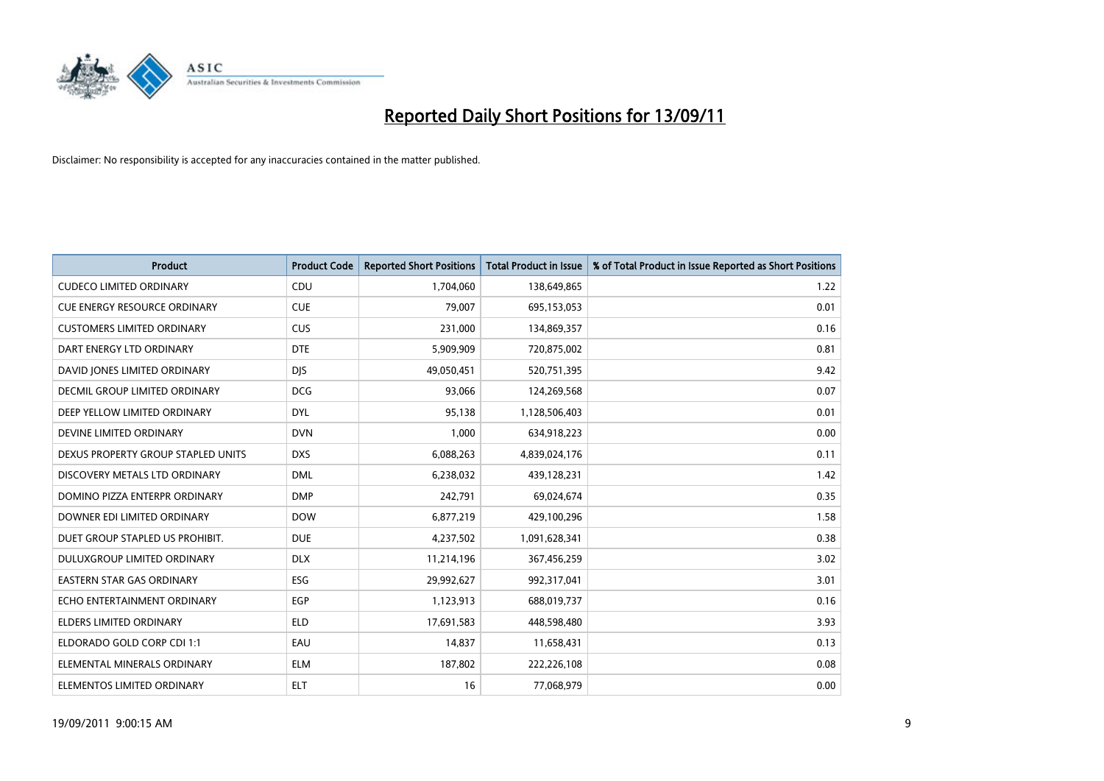

| <b>Product</b>                      | <b>Product Code</b> | <b>Reported Short Positions</b> | Total Product in Issue | % of Total Product in Issue Reported as Short Positions |
|-------------------------------------|---------------------|---------------------------------|------------------------|---------------------------------------------------------|
| <b>CUDECO LIMITED ORDINARY</b>      | CDU                 | 1,704,060                       | 138,649,865            | 1.22                                                    |
| <b>CUE ENERGY RESOURCE ORDINARY</b> | <b>CUE</b>          | 79.007                          | 695,153,053            | 0.01                                                    |
| <b>CUSTOMERS LIMITED ORDINARY</b>   | <b>CUS</b>          | 231,000                         | 134,869,357            | 0.16                                                    |
| DART ENERGY LTD ORDINARY            | <b>DTE</b>          | 5,909,909                       | 720,875,002            | 0.81                                                    |
| DAVID JONES LIMITED ORDINARY        | <b>DIS</b>          | 49,050,451                      | 520,751,395            | 9.42                                                    |
| DECMIL GROUP LIMITED ORDINARY       | <b>DCG</b>          | 93,066                          | 124,269,568            | 0.07                                                    |
| DEEP YELLOW LIMITED ORDINARY        | <b>DYL</b>          | 95.138                          | 1,128,506,403          | 0.01                                                    |
| DEVINE LIMITED ORDINARY             | <b>DVN</b>          | 1,000                           | 634,918,223            | 0.00                                                    |
| DEXUS PROPERTY GROUP STAPLED UNITS  | <b>DXS</b>          | 6,088,263                       | 4,839,024,176          | 0.11                                                    |
| DISCOVERY METALS LTD ORDINARY       | <b>DML</b>          | 6,238,032                       | 439,128,231            | 1.42                                                    |
| DOMINO PIZZA ENTERPR ORDINARY       | <b>DMP</b>          | 242,791                         | 69,024,674             | 0.35                                                    |
| DOWNER EDI LIMITED ORDINARY         | <b>DOW</b>          | 6,877,219                       | 429,100,296            | 1.58                                                    |
| DUET GROUP STAPLED US PROHIBIT.     | <b>DUE</b>          | 4,237,502                       | 1,091,628,341          | 0.38                                                    |
| DULUXGROUP LIMITED ORDINARY         | <b>DLX</b>          | 11,214,196                      | 367,456,259            | 3.02                                                    |
| <b>EASTERN STAR GAS ORDINARY</b>    | <b>ESG</b>          | 29,992,627                      | 992,317,041            | 3.01                                                    |
| ECHO ENTERTAINMENT ORDINARY         | EGP                 | 1,123,913                       | 688,019,737            | 0.16                                                    |
| <b>ELDERS LIMITED ORDINARY</b>      | <b>ELD</b>          | 17,691,583                      | 448,598,480            | 3.93                                                    |
| ELDORADO GOLD CORP CDI 1:1          | EAU                 | 14,837                          | 11,658,431             | 0.13                                                    |
| ELEMENTAL MINERALS ORDINARY         | <b>ELM</b>          | 187,802                         | 222,226,108            | 0.08                                                    |
| ELEMENTOS LIMITED ORDINARY          | <b>ELT</b>          | 16                              | 77,068,979             | 0.00                                                    |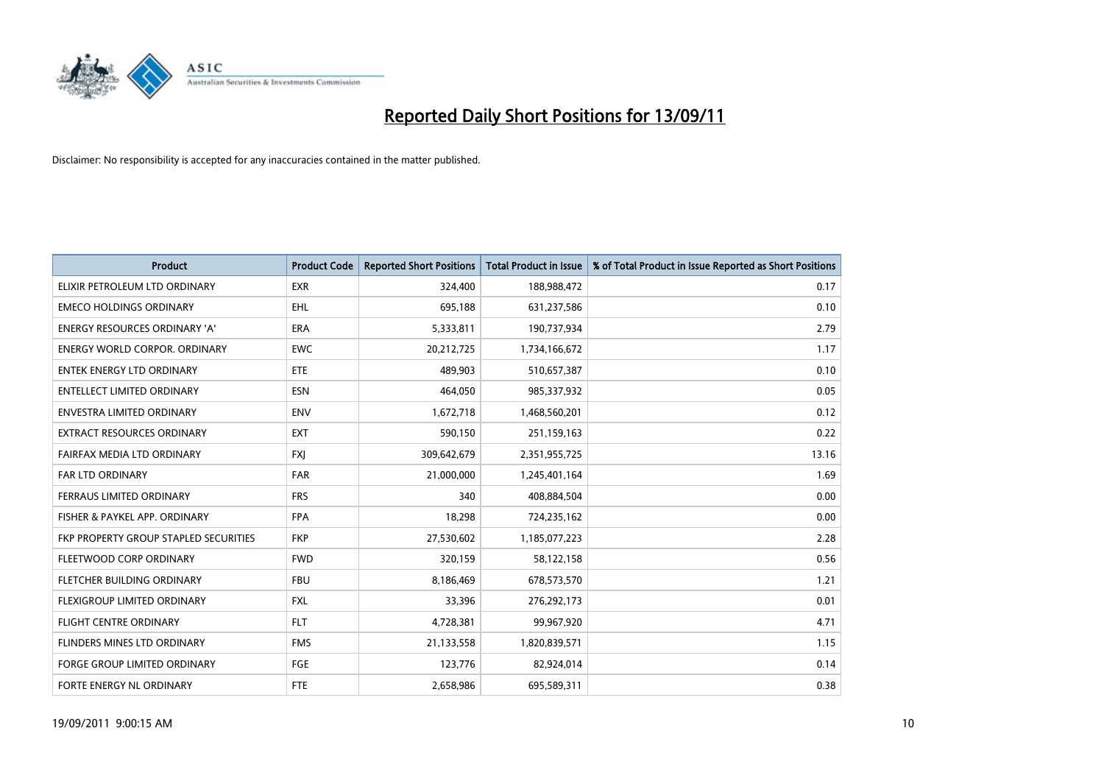

| <b>Product</b>                        | <b>Product Code</b> | <b>Reported Short Positions</b> | Total Product in Issue | % of Total Product in Issue Reported as Short Positions |
|---------------------------------------|---------------------|---------------------------------|------------------------|---------------------------------------------------------|
| ELIXIR PETROLEUM LTD ORDINARY         | <b>EXR</b>          | 324,400                         | 188,988,472            | 0.17                                                    |
| <b>EMECO HOLDINGS ORDINARY</b>        | <b>EHL</b>          | 695,188                         | 631,237,586            | 0.10                                                    |
| ENERGY RESOURCES ORDINARY 'A'         | <b>ERA</b>          | 5,333,811                       | 190,737,934            | 2.79                                                    |
| <b>ENERGY WORLD CORPOR. ORDINARY</b>  | <b>EWC</b>          | 20,212,725                      | 1,734,166,672          | 1.17                                                    |
| <b>ENTEK ENERGY LTD ORDINARY</b>      | ETE                 | 489.903                         | 510,657,387            | 0.10                                                    |
| <b>ENTELLECT LIMITED ORDINARY</b>     | <b>ESN</b>          | 464.050                         | 985,337,932            | 0.05                                                    |
| <b>ENVESTRA LIMITED ORDINARY</b>      | <b>ENV</b>          | 1,672,718                       | 1,468,560,201          | 0.12                                                    |
| <b>EXTRACT RESOURCES ORDINARY</b>     | <b>EXT</b>          | 590,150                         | 251,159,163            | 0.22                                                    |
| FAIRFAX MEDIA LTD ORDINARY            | <b>FXJ</b>          | 309,642,679                     | 2,351,955,725          | 13.16                                                   |
| <b>FAR LTD ORDINARY</b>               | <b>FAR</b>          | 21,000,000                      | 1,245,401,164          | 1.69                                                    |
| FERRAUS LIMITED ORDINARY              | <b>FRS</b>          | 340                             | 408,884,504            | 0.00                                                    |
| FISHER & PAYKEL APP. ORDINARY         | <b>FPA</b>          | 18,298                          | 724,235,162            | 0.00                                                    |
| FKP PROPERTY GROUP STAPLED SECURITIES | <b>FKP</b>          | 27,530,602                      | 1,185,077,223          | 2.28                                                    |
| FLEETWOOD CORP ORDINARY               | <b>FWD</b>          | 320.159                         | 58,122,158             | 0.56                                                    |
| FLETCHER BUILDING ORDINARY            | <b>FBU</b>          | 8,186,469                       | 678,573,570            | 1.21                                                    |
| FLEXIGROUP LIMITED ORDINARY           | <b>FXL</b>          | 33,396                          | 276,292,173            | 0.01                                                    |
| <b>FLIGHT CENTRE ORDINARY</b>         | <b>FLT</b>          | 4,728,381                       | 99,967,920             | 4.71                                                    |
| FLINDERS MINES LTD ORDINARY           | <b>FMS</b>          | 21,133,558                      | 1,820,839,571          | 1.15                                                    |
| <b>FORGE GROUP LIMITED ORDINARY</b>   | FGE                 | 123,776                         | 82,924,014             | 0.14                                                    |
| <b>FORTE ENERGY NL ORDINARY</b>       | <b>FTE</b>          | 2,658,986                       | 695,589,311            | 0.38                                                    |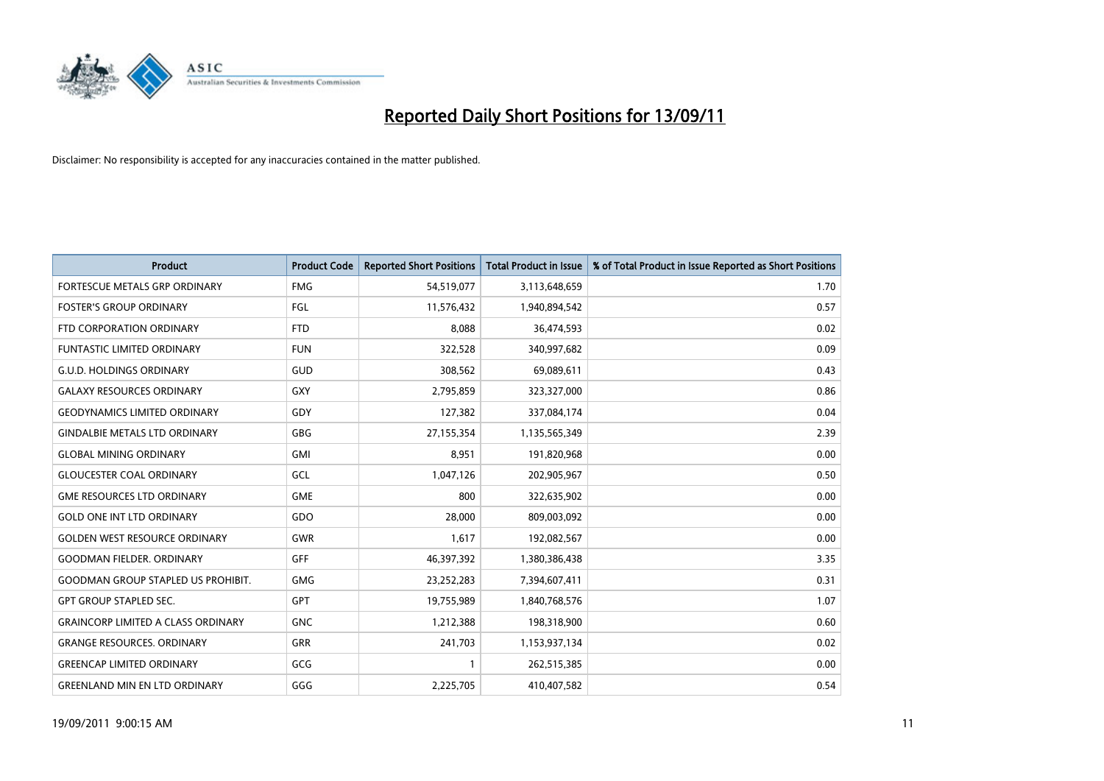

| <b>Product</b>                            | <b>Product Code</b> | <b>Reported Short Positions</b> | Total Product in Issue | % of Total Product in Issue Reported as Short Positions |
|-------------------------------------------|---------------------|---------------------------------|------------------------|---------------------------------------------------------|
| <b>FORTESCUE METALS GRP ORDINARY</b>      | <b>FMG</b>          | 54,519,077                      | 3,113,648,659          | 1.70                                                    |
| <b>FOSTER'S GROUP ORDINARY</b>            | FGL                 | 11,576,432                      | 1,940,894,542          | 0.57                                                    |
| FTD CORPORATION ORDINARY                  | <b>FTD</b>          | 8,088                           | 36,474,593             | 0.02                                                    |
| FUNTASTIC LIMITED ORDINARY                | <b>FUN</b>          | 322,528                         | 340,997,682            | 0.09                                                    |
| <b>G.U.D. HOLDINGS ORDINARY</b>           | <b>GUD</b>          | 308,562                         | 69,089,611             | 0.43                                                    |
| <b>GALAXY RESOURCES ORDINARY</b>          | <b>GXY</b>          | 2,795,859                       | 323,327,000            | 0.86                                                    |
| <b>GEODYNAMICS LIMITED ORDINARY</b>       | GDY                 | 127,382                         | 337,084,174            | 0.04                                                    |
| <b>GINDALBIE METALS LTD ORDINARY</b>      | <b>GBG</b>          | 27,155,354                      | 1,135,565,349          | 2.39                                                    |
| <b>GLOBAL MINING ORDINARY</b>             | <b>GMI</b>          | 8,951                           | 191,820,968            | 0.00                                                    |
| <b>GLOUCESTER COAL ORDINARY</b>           | GCL                 | 1,047,126                       | 202,905,967            | 0.50                                                    |
| <b>GME RESOURCES LTD ORDINARY</b>         | <b>GME</b>          | 800                             | 322,635,902            | 0.00                                                    |
| <b>GOLD ONE INT LTD ORDINARY</b>          | GDO                 | 28,000                          | 809,003,092            | 0.00                                                    |
| <b>GOLDEN WEST RESOURCE ORDINARY</b>      | <b>GWR</b>          | 1,617                           | 192,082,567            | 0.00                                                    |
| <b>GOODMAN FIELDER, ORDINARY</b>          | <b>GFF</b>          | 46,397,392                      | 1,380,386,438          | 3.35                                                    |
| <b>GOODMAN GROUP STAPLED US PROHIBIT.</b> | <b>GMG</b>          | 23,252,283                      | 7,394,607,411          | 0.31                                                    |
| <b>GPT GROUP STAPLED SEC.</b>             | <b>GPT</b>          | 19,755,989                      | 1,840,768,576          | 1.07                                                    |
| <b>GRAINCORP LIMITED A CLASS ORDINARY</b> | <b>GNC</b>          | 1,212,388                       | 198,318,900            | 0.60                                                    |
| <b>GRANGE RESOURCES. ORDINARY</b>         | <b>GRR</b>          | 241,703                         | 1,153,937,134          | 0.02                                                    |
| <b>GREENCAP LIMITED ORDINARY</b>          | GCG                 |                                 | 262,515,385            | 0.00                                                    |
| <b>GREENLAND MIN EN LTD ORDINARY</b>      | GGG                 | 2,225,705                       | 410,407,582            | 0.54                                                    |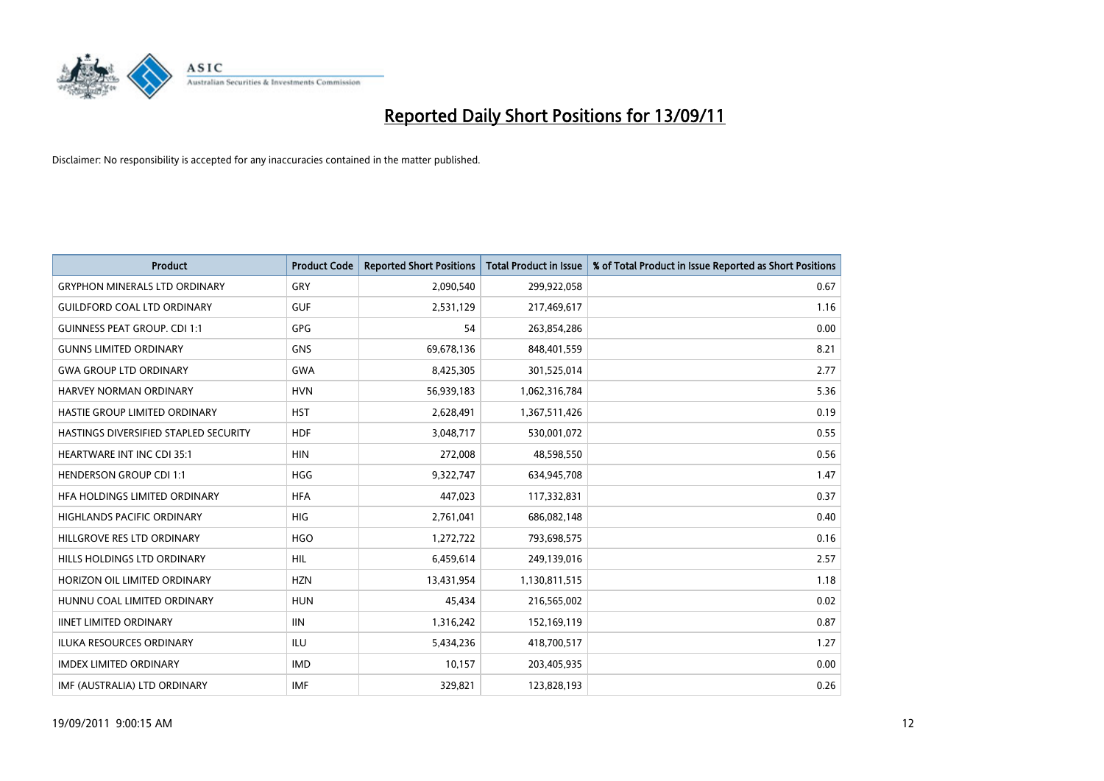

| <b>Product</b>                               | <b>Product Code</b> | <b>Reported Short Positions</b> | <b>Total Product in Issue</b> | % of Total Product in Issue Reported as Short Positions |
|----------------------------------------------|---------------------|---------------------------------|-------------------------------|---------------------------------------------------------|
| <b>GRYPHON MINERALS LTD ORDINARY</b>         | <b>GRY</b>          | 2,090,540                       | 299,922,058                   | 0.67                                                    |
| <b>GUILDFORD COAL LTD ORDINARY</b>           | <b>GUF</b>          | 2,531,129                       | 217,469,617                   | 1.16                                                    |
| <b>GUINNESS PEAT GROUP. CDI 1:1</b>          | <b>GPG</b>          | 54                              | 263,854,286                   | 0.00                                                    |
| <b>GUNNS LIMITED ORDINARY</b>                | <b>GNS</b>          | 69,678,136                      | 848,401,559                   | 8.21                                                    |
| <b>GWA GROUP LTD ORDINARY</b>                | <b>GWA</b>          | 8,425,305                       | 301,525,014                   | 2.77                                                    |
| <b>HARVEY NORMAN ORDINARY</b>                | <b>HVN</b>          | 56,939,183                      | 1,062,316,784                 | 5.36                                                    |
| HASTIE GROUP LIMITED ORDINARY                | <b>HST</b>          | 2,628,491                       | 1,367,511,426                 | 0.19                                                    |
| <b>HASTINGS DIVERSIFIED STAPLED SECURITY</b> | <b>HDF</b>          | 3,048,717                       | 530,001,072                   | 0.55                                                    |
| HEARTWARE INT INC CDI 35:1                   | <b>HIN</b>          | 272,008                         | 48,598,550                    | 0.56                                                    |
| <b>HENDERSON GROUP CDI 1:1</b>               | <b>HGG</b>          | 9,322,747                       | 634,945,708                   | 1.47                                                    |
| HFA HOLDINGS LIMITED ORDINARY                | <b>HFA</b>          | 447,023                         | 117,332,831                   | 0.37                                                    |
| <b>HIGHLANDS PACIFIC ORDINARY</b>            | <b>HIG</b>          | 2,761,041                       | 686,082,148                   | 0.40                                                    |
| HILLGROVE RES LTD ORDINARY                   | <b>HGO</b>          | 1,272,722                       | 793,698,575                   | 0.16                                                    |
| HILLS HOLDINGS LTD ORDINARY                  | <b>HIL</b>          | 6,459,614                       | 249,139,016                   | 2.57                                                    |
| HORIZON OIL LIMITED ORDINARY                 | <b>HZN</b>          | 13,431,954                      | 1,130,811,515                 | 1.18                                                    |
| HUNNU COAL LIMITED ORDINARY                  | <b>HUN</b>          | 45,434                          | 216,565,002                   | 0.02                                                    |
| <b>IINET LIMITED ORDINARY</b>                | <b>IIN</b>          | 1,316,242                       | 152,169,119                   | 0.87                                                    |
| ILUKA RESOURCES ORDINARY                     | ILU                 | 5,434,236                       | 418,700,517                   | 1.27                                                    |
| <b>IMDEX LIMITED ORDINARY</b>                | <b>IMD</b>          | 10,157                          | 203,405,935                   | 0.00                                                    |
| IMF (AUSTRALIA) LTD ORDINARY                 | <b>IMF</b>          | 329,821                         | 123,828,193                   | 0.26                                                    |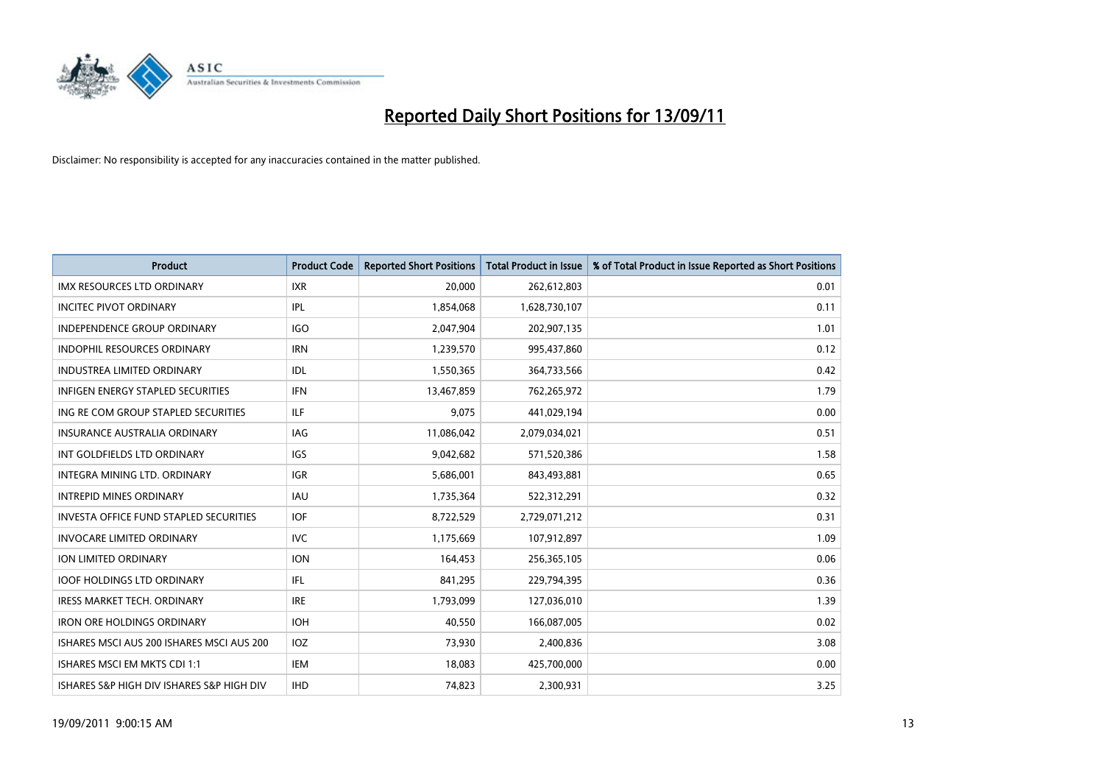

| <b>Product</b>                                | <b>Product Code</b> | <b>Reported Short Positions</b> | Total Product in Issue | % of Total Product in Issue Reported as Short Positions |
|-----------------------------------------------|---------------------|---------------------------------|------------------------|---------------------------------------------------------|
| <b>IMX RESOURCES LTD ORDINARY</b>             | <b>IXR</b>          | 20.000                          | 262,612,803            | 0.01                                                    |
| <b>INCITEC PIVOT ORDINARY</b>                 | <b>IPL</b>          | 1,854,068                       | 1,628,730,107          | 0.11                                                    |
| <b>INDEPENDENCE GROUP ORDINARY</b>            | <b>IGO</b>          | 2,047,904                       | 202,907,135            | 1.01                                                    |
| INDOPHIL RESOURCES ORDINARY                   | <b>IRN</b>          | 1,239,570                       | 995,437,860            | 0.12                                                    |
| <b>INDUSTREA LIMITED ORDINARY</b>             | <b>IDL</b>          | 1,550,365                       | 364,733,566            | 0.42                                                    |
| <b>INFIGEN ENERGY STAPLED SECURITIES</b>      | <b>IFN</b>          | 13,467,859                      | 762,265,972            | 1.79                                                    |
| ING RE COM GROUP STAPLED SECURITIES           | <b>ILF</b>          | 9.075                           | 441,029,194            | 0.00                                                    |
| <b>INSURANCE AUSTRALIA ORDINARY</b>           | <b>IAG</b>          | 11,086,042                      | 2,079,034,021          | 0.51                                                    |
| INT GOLDFIELDS LTD ORDINARY                   | <b>IGS</b>          | 9,042,682                       | 571,520,386            | 1.58                                                    |
| INTEGRA MINING LTD, ORDINARY                  | <b>IGR</b>          | 5,686,001                       | 843,493,881            | 0.65                                                    |
| <b>INTREPID MINES ORDINARY</b>                | <b>IAU</b>          | 1,735,364                       | 522,312,291            | 0.32                                                    |
| <b>INVESTA OFFICE FUND STAPLED SECURITIES</b> | <b>IOF</b>          | 8,722,529                       | 2,729,071,212          | 0.31                                                    |
| <b>INVOCARE LIMITED ORDINARY</b>              | <b>IVC</b>          | 1,175,669                       | 107,912,897            | 1.09                                                    |
| <b>ION LIMITED ORDINARY</b>                   | <b>ION</b>          | 164,453                         | 256,365,105            | 0.06                                                    |
| <b>IOOF HOLDINGS LTD ORDINARY</b>             | IFL.                | 841,295                         | 229,794,395            | 0.36                                                    |
| <b>IRESS MARKET TECH. ORDINARY</b>            | <b>IRE</b>          | 1,793,099                       | 127,036,010            | 1.39                                                    |
| <b>IRON ORE HOLDINGS ORDINARY</b>             | <b>IOH</b>          | 40,550                          | 166,087,005            | 0.02                                                    |
| ISHARES MSCI AUS 200 ISHARES MSCI AUS 200     | <b>IOZ</b>          | 73,930                          | 2,400,836              | 3.08                                                    |
| ISHARES MSCI EM MKTS CDI 1:1                  | <b>IEM</b>          | 18,083                          | 425,700,000            | 0.00                                                    |
| ISHARES S&P HIGH DIV ISHARES S&P HIGH DIV     | <b>IHD</b>          | 74.823                          | 2,300,931              | 3.25                                                    |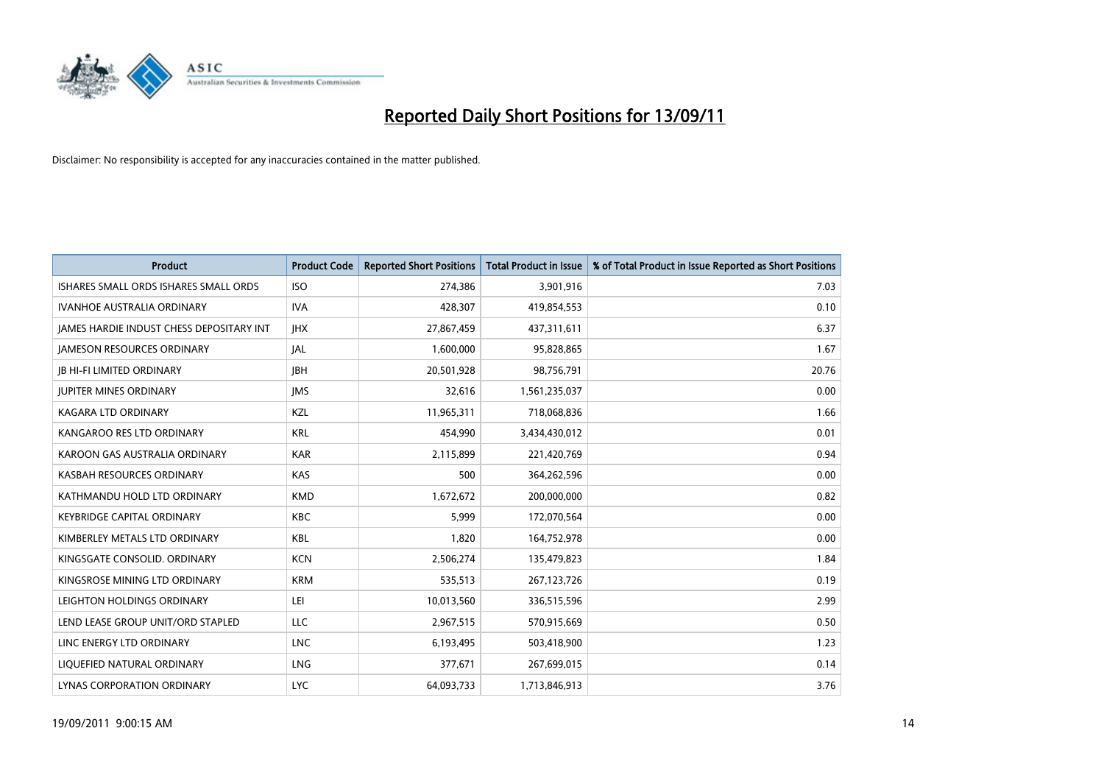

| <b>Product</b>                           | <b>Product Code</b> | <b>Reported Short Positions</b> | Total Product in Issue | % of Total Product in Issue Reported as Short Positions |
|------------------------------------------|---------------------|---------------------------------|------------------------|---------------------------------------------------------|
| ISHARES SMALL ORDS ISHARES SMALL ORDS    | <b>ISO</b>          | 274,386                         | 3,901,916              | 7.03                                                    |
| IVANHOE AUSTRALIA ORDINARY               | <b>IVA</b>          | 428,307                         | 419,854,553            | 0.10                                                    |
| JAMES HARDIE INDUST CHESS DEPOSITARY INT | <b>IHX</b>          | 27,867,459                      | 437,311,611            | 6.37                                                    |
| <b>JAMESON RESOURCES ORDINARY</b>        | <b>JAL</b>          | 1,600,000                       | 95,828,865             | 1.67                                                    |
| <b>IB HI-FI LIMITED ORDINARY</b>         | <b>IBH</b>          | 20,501,928                      | 98,756,791             | 20.76                                                   |
| <b>JUPITER MINES ORDINARY</b>            | <b>IMS</b>          | 32,616                          | 1,561,235,037          | 0.00                                                    |
| KAGARA LTD ORDINARY                      | <b>KZL</b>          | 11,965,311                      | 718,068,836            | 1.66                                                    |
| KANGAROO RES LTD ORDINARY                | <b>KRL</b>          | 454,990                         | 3,434,430,012          | 0.01                                                    |
| KAROON GAS AUSTRALIA ORDINARY            | <b>KAR</b>          | 2,115,899                       | 221,420,769            | 0.94                                                    |
| KASBAH RESOURCES ORDINARY                | <b>KAS</b>          | 500                             | 364,262,596            | 0.00                                                    |
| KATHMANDU HOLD LTD ORDINARY              | <b>KMD</b>          | 1,672,672                       | 200,000,000            | 0.82                                                    |
| <b>KEYBRIDGE CAPITAL ORDINARY</b>        | <b>KBC</b>          | 5,999                           | 172,070,564            | 0.00                                                    |
| KIMBERLEY METALS LTD ORDINARY            | <b>KBL</b>          | 1,820                           | 164,752,978            | 0.00                                                    |
| KINGSGATE CONSOLID. ORDINARY             | <b>KCN</b>          | 2,506,274                       | 135,479,823            | 1.84                                                    |
| KINGSROSE MINING LTD ORDINARY            | <b>KRM</b>          | 535,513                         | 267, 123, 726          | 0.19                                                    |
| LEIGHTON HOLDINGS ORDINARY               | LEI                 | 10,013,560                      | 336,515,596            | 2.99                                                    |
| LEND LEASE GROUP UNIT/ORD STAPLED        | LLC                 | 2,967,515                       | 570,915,669            | 0.50                                                    |
| LINC ENERGY LTD ORDINARY                 | <b>LNC</b>          | 6,193,495                       | 503,418,900            | 1.23                                                    |
| LIOUEFIED NATURAL ORDINARY               | <b>LNG</b>          | 377,671                         | 267,699,015            | 0.14                                                    |
| LYNAS CORPORATION ORDINARY               | <b>LYC</b>          | 64.093.733                      | 1,713,846,913          | 3.76                                                    |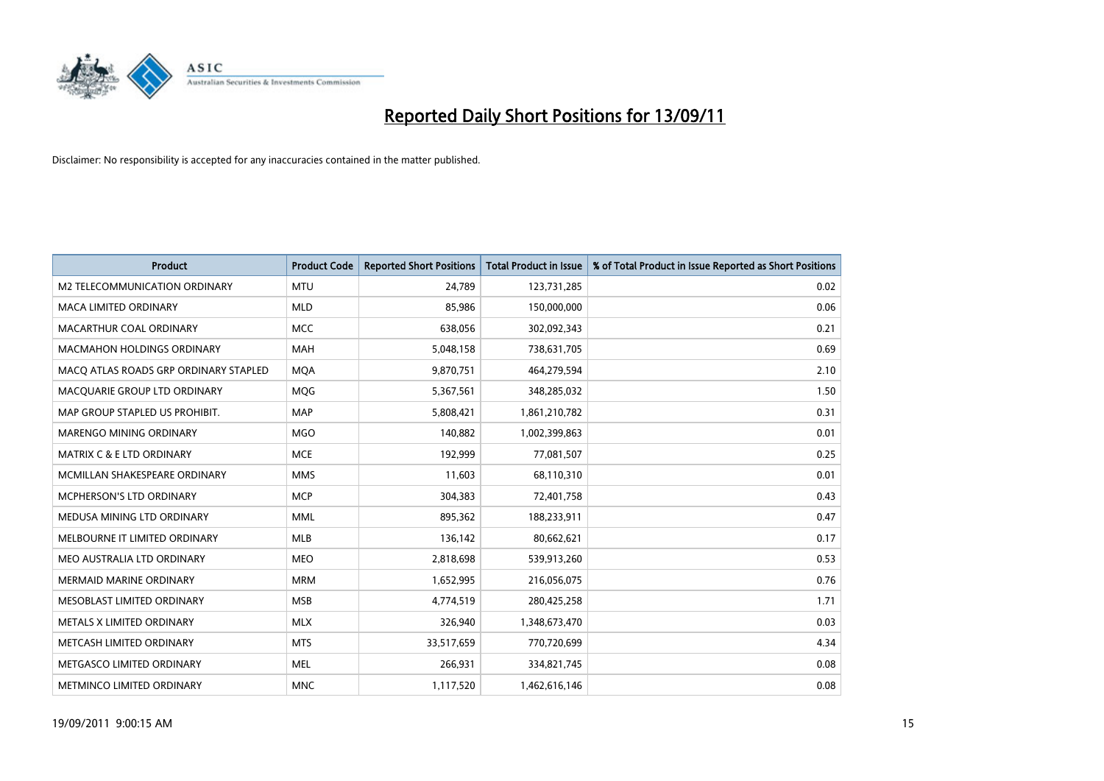

| <b>Product</b>                        | <b>Product Code</b> | <b>Reported Short Positions</b> | Total Product in Issue | % of Total Product in Issue Reported as Short Positions |
|---------------------------------------|---------------------|---------------------------------|------------------------|---------------------------------------------------------|
| M2 TELECOMMUNICATION ORDINARY         | <b>MTU</b>          | 24,789                          | 123,731,285            | 0.02                                                    |
| <b>MACA LIMITED ORDINARY</b>          | <b>MLD</b>          | 85.986                          | 150,000,000            | 0.06                                                    |
| <b>MACARTHUR COAL ORDINARY</b>        | <b>MCC</b>          | 638,056                         | 302,092,343            | 0.21                                                    |
| MACMAHON HOLDINGS ORDINARY            | <b>MAH</b>          | 5,048,158                       | 738,631,705            | 0.69                                                    |
| MACO ATLAS ROADS GRP ORDINARY STAPLED | <b>MQA</b>          | 9,870,751                       | 464,279,594            | 2.10                                                    |
| MACQUARIE GROUP LTD ORDINARY          | MQG                 | 5,367,561                       | 348,285,032            | 1.50                                                    |
| MAP GROUP STAPLED US PROHIBIT.        | <b>MAP</b>          | 5,808,421                       | 1,861,210,782          | 0.31                                                    |
| <b>MARENGO MINING ORDINARY</b>        | <b>MGO</b>          | 140,882                         | 1,002,399,863          | 0.01                                                    |
| MATRIX C & E LTD ORDINARY             | <b>MCE</b>          | 192,999                         | 77,081,507             | 0.25                                                    |
| MCMILLAN SHAKESPEARE ORDINARY         | <b>MMS</b>          | 11,603                          | 68,110,310             | 0.01                                                    |
| MCPHERSON'S LTD ORDINARY              | <b>MCP</b>          | 304,383                         | 72,401,758             | 0.43                                                    |
| MEDUSA MINING LTD ORDINARY            | <b>MML</b>          | 895,362                         | 188,233,911            | 0.47                                                    |
| MELBOURNE IT LIMITED ORDINARY         | <b>MLB</b>          | 136,142                         | 80,662,621             | 0.17                                                    |
| MEO AUSTRALIA LTD ORDINARY            | <b>MEO</b>          | 2,818,698                       | 539,913,260            | 0.53                                                    |
| <b>MERMAID MARINE ORDINARY</b>        | <b>MRM</b>          | 1,652,995                       | 216,056,075            | 0.76                                                    |
| MESOBLAST LIMITED ORDINARY            | <b>MSB</b>          | 4,774,519                       | 280,425,258            | 1.71                                                    |
| METALS X LIMITED ORDINARY             | <b>MLX</b>          | 326,940                         | 1,348,673,470          | 0.03                                                    |
| METCASH LIMITED ORDINARY              | <b>MTS</b>          | 33,517,659                      | 770,720,699            | 4.34                                                    |
| METGASCO LIMITED ORDINARY             | <b>MEL</b>          | 266,931                         | 334,821,745            | 0.08                                                    |
| <b>METMINCO LIMITED ORDINARY</b>      | <b>MNC</b>          | 1,117,520                       | 1,462,616,146          | 0.08                                                    |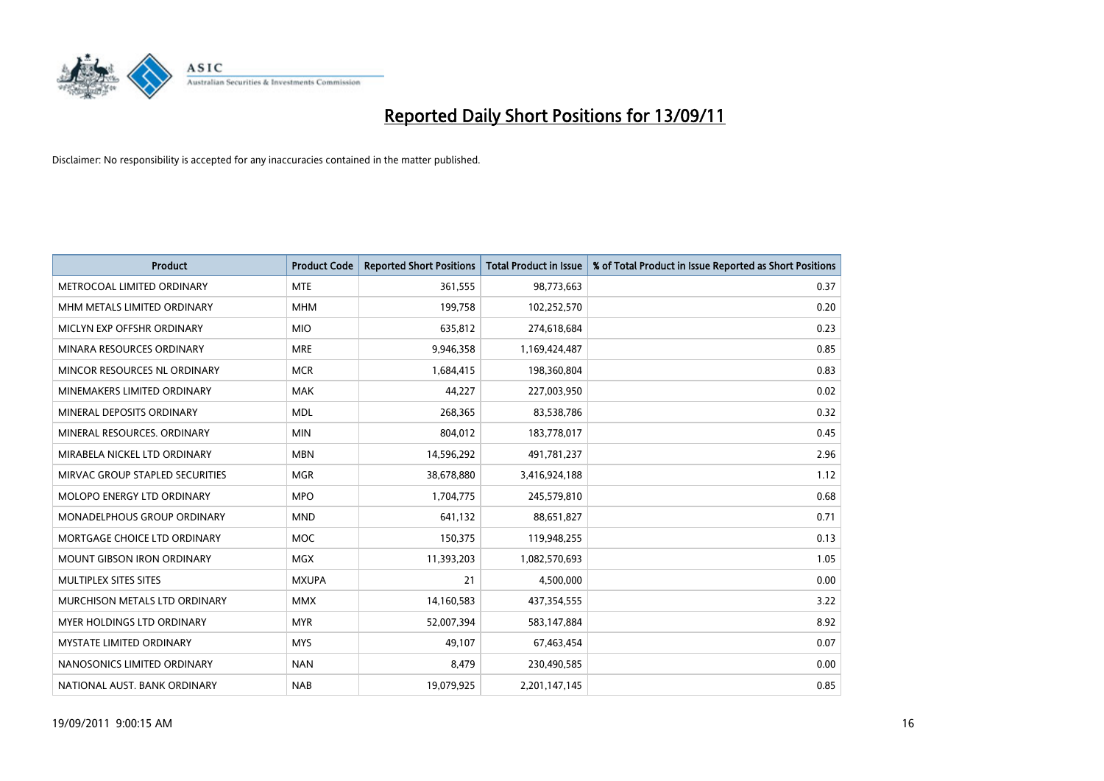

| <b>Product</b>                    | <b>Product Code</b> | <b>Reported Short Positions</b> | Total Product in Issue | % of Total Product in Issue Reported as Short Positions |
|-----------------------------------|---------------------|---------------------------------|------------------------|---------------------------------------------------------|
| METROCOAL LIMITED ORDINARY        | <b>MTE</b>          | 361,555                         | 98,773,663             | 0.37                                                    |
| MHM METALS LIMITED ORDINARY       | <b>MHM</b>          | 199,758                         | 102,252,570            | 0.20                                                    |
| MICLYN EXP OFFSHR ORDINARY        | <b>MIO</b>          | 635,812                         | 274,618,684            | 0.23                                                    |
| MINARA RESOURCES ORDINARY         | <b>MRE</b>          | 9,946,358                       | 1,169,424,487          | 0.85                                                    |
| MINCOR RESOURCES NL ORDINARY      | <b>MCR</b>          | 1,684,415                       | 198,360,804            | 0.83                                                    |
| MINEMAKERS LIMITED ORDINARY       | <b>MAK</b>          | 44.227                          | 227,003,950            | 0.02                                                    |
| MINERAL DEPOSITS ORDINARY         | <b>MDL</b>          | 268,365                         | 83,538,786             | 0.32                                                    |
| MINERAL RESOURCES. ORDINARY       | <b>MIN</b>          | 804,012                         | 183,778,017            | 0.45                                                    |
| MIRABELA NICKEL LTD ORDINARY      | <b>MBN</b>          | 14,596,292                      | 491,781,237            | 2.96                                                    |
| MIRVAC GROUP STAPLED SECURITIES   | <b>MGR</b>          | 38,678,880                      | 3,416,924,188          | 1.12                                                    |
| MOLOPO ENERGY LTD ORDINARY        | <b>MPO</b>          | 1,704,775                       | 245,579,810            | 0.68                                                    |
| MONADELPHOUS GROUP ORDINARY       | <b>MND</b>          | 641,132                         | 88,651,827             | 0.71                                                    |
| MORTGAGE CHOICE LTD ORDINARY      | <b>MOC</b>          | 150,375                         | 119,948,255            | 0.13                                                    |
| <b>MOUNT GIBSON IRON ORDINARY</b> | <b>MGX</b>          | 11,393,203                      | 1,082,570,693          | 1.05                                                    |
| MULTIPLEX SITES SITES             | <b>MXUPA</b>        | 21                              | 4,500,000              | 0.00                                                    |
| MURCHISON METALS LTD ORDINARY     | <b>MMX</b>          | 14,160,583                      | 437,354,555            | 3.22                                                    |
| <b>MYER HOLDINGS LTD ORDINARY</b> | <b>MYR</b>          | 52,007,394                      | 583,147,884            | 8.92                                                    |
| <b>MYSTATE LIMITED ORDINARY</b>   | <b>MYS</b>          | 49,107                          | 67,463,454             | 0.07                                                    |
| NANOSONICS LIMITED ORDINARY       | <b>NAN</b>          | 8,479                           | 230,490,585            | 0.00                                                    |
| NATIONAL AUST. BANK ORDINARY      | <b>NAB</b>          | 19,079,925                      | 2,201,147,145          | 0.85                                                    |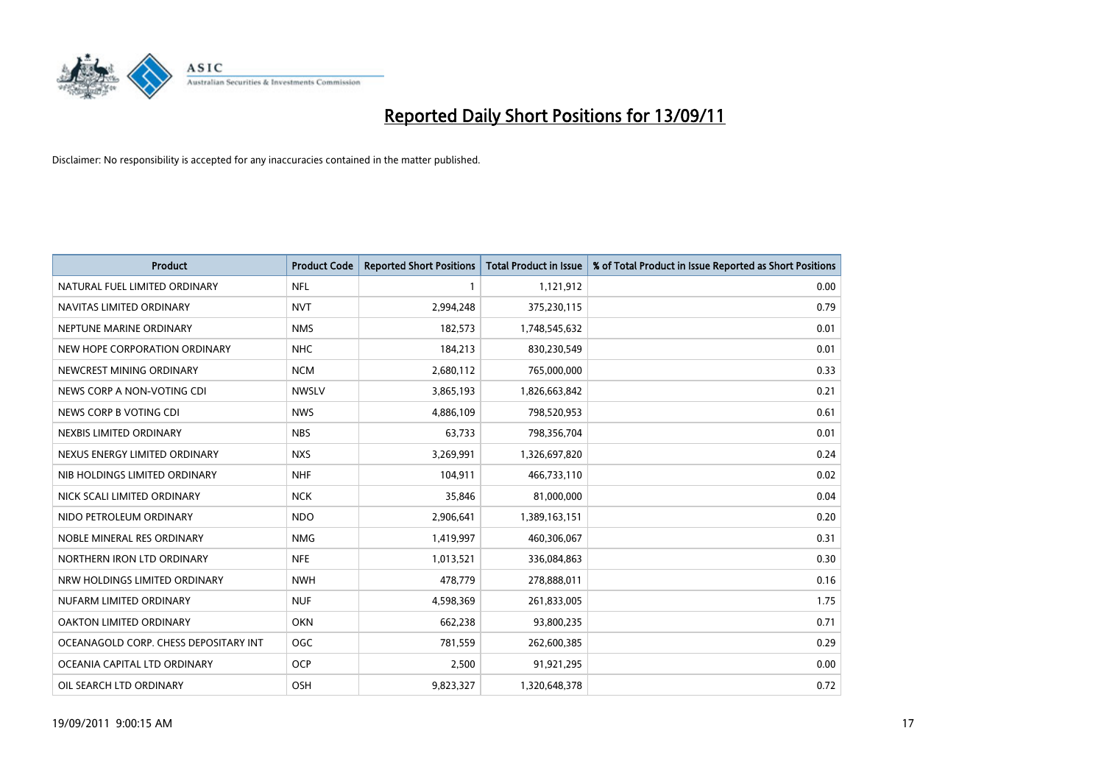

| <b>Product</b>                        | <b>Product Code</b> | <b>Reported Short Positions</b> | <b>Total Product in Issue</b> | % of Total Product in Issue Reported as Short Positions |
|---------------------------------------|---------------------|---------------------------------|-------------------------------|---------------------------------------------------------|
| NATURAL FUEL LIMITED ORDINARY         | <b>NFL</b>          |                                 | 1,121,912                     | 0.00                                                    |
| NAVITAS LIMITED ORDINARY              | <b>NVT</b>          | 2,994,248                       | 375,230,115                   | 0.79                                                    |
| NEPTUNE MARINE ORDINARY               | <b>NMS</b>          | 182,573                         | 1,748,545,632                 | 0.01                                                    |
| NEW HOPE CORPORATION ORDINARY         | <b>NHC</b>          | 184,213                         | 830,230,549                   | 0.01                                                    |
| NEWCREST MINING ORDINARY              | <b>NCM</b>          | 2,680,112                       | 765,000,000                   | 0.33                                                    |
| NEWS CORP A NON-VOTING CDI            | <b>NWSLV</b>        | 3,865,193                       | 1,826,663,842                 | 0.21                                                    |
| NEWS CORP B VOTING CDI                | <b>NWS</b>          | 4,886,109                       | 798,520,953                   | 0.61                                                    |
| NEXBIS LIMITED ORDINARY               | <b>NBS</b>          | 63,733                          | 798,356,704                   | 0.01                                                    |
| NEXUS ENERGY LIMITED ORDINARY         | <b>NXS</b>          | 3,269,991                       | 1,326,697,820                 | 0.24                                                    |
| NIB HOLDINGS LIMITED ORDINARY         | <b>NHF</b>          | 104,911                         | 466,733,110                   | 0.02                                                    |
| NICK SCALI LIMITED ORDINARY           | <b>NCK</b>          | 35,846                          | 81,000,000                    | 0.04                                                    |
| NIDO PETROLEUM ORDINARY               | <b>NDO</b>          | 2,906,641                       | 1,389,163,151                 | 0.20                                                    |
| NOBLE MINERAL RES ORDINARY            | <b>NMG</b>          | 1,419,997                       | 460,306,067                   | 0.31                                                    |
| NORTHERN IRON LTD ORDINARY            | <b>NFE</b>          | 1,013,521                       | 336,084,863                   | 0.30                                                    |
| NRW HOLDINGS LIMITED ORDINARY         | <b>NWH</b>          | 478,779                         | 278,888,011                   | 0.16                                                    |
| NUFARM LIMITED ORDINARY               | <b>NUF</b>          | 4,598,369                       | 261,833,005                   | 1.75                                                    |
| OAKTON LIMITED ORDINARY               | <b>OKN</b>          | 662,238                         | 93,800,235                    | 0.71                                                    |
| OCEANAGOLD CORP. CHESS DEPOSITARY INT | <b>OGC</b>          | 781,559                         | 262,600,385                   | 0.29                                                    |
| OCEANIA CAPITAL LTD ORDINARY          | <b>OCP</b>          | 2,500                           | 91,921,295                    | 0.00                                                    |
| OIL SEARCH LTD ORDINARY               | OSH                 | 9,823,327                       | 1,320,648,378                 | 0.72                                                    |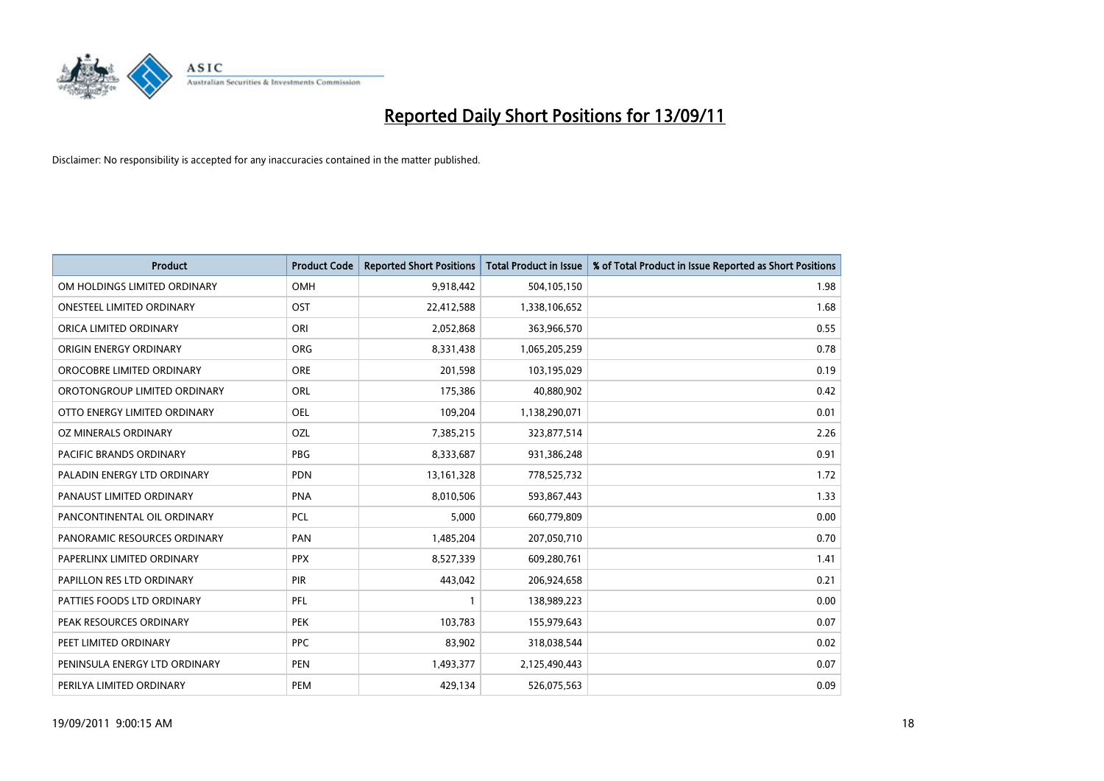

| <b>Product</b>                | <b>Product Code</b> | <b>Reported Short Positions</b> | Total Product in Issue | % of Total Product in Issue Reported as Short Positions |
|-------------------------------|---------------------|---------------------------------|------------------------|---------------------------------------------------------|
| OM HOLDINGS LIMITED ORDINARY  | OMH                 | 9,918,442                       | 504,105,150            | 1.98                                                    |
| ONESTEEL LIMITED ORDINARY     | OST                 | 22,412,588                      | 1,338,106,652          | 1.68                                                    |
| ORICA LIMITED ORDINARY        | ORI                 | 2,052,868                       | 363,966,570            | 0.55                                                    |
| ORIGIN ENERGY ORDINARY        | <b>ORG</b>          | 8,331,438                       | 1,065,205,259          | 0.78                                                    |
| OROCOBRE LIMITED ORDINARY     | <b>ORE</b>          | 201,598                         | 103,195,029            | 0.19                                                    |
| OROTONGROUP LIMITED ORDINARY  | ORL                 | 175,386                         | 40,880,902             | 0.42                                                    |
| OTTO ENERGY LIMITED ORDINARY  | OEL                 | 109,204                         | 1,138,290,071          | 0.01                                                    |
| OZ MINERALS ORDINARY          | OZL                 | 7,385,215                       | 323,877,514            | 2.26                                                    |
| PACIFIC BRANDS ORDINARY       | PBG                 | 8,333,687                       | 931,386,248            | 0.91                                                    |
| PALADIN ENERGY LTD ORDINARY   | <b>PDN</b>          | 13, 161, 328                    | 778,525,732            | 1.72                                                    |
| PANAUST LIMITED ORDINARY      | <b>PNA</b>          | 8,010,506                       | 593,867,443            | 1.33                                                    |
| PANCONTINENTAL OIL ORDINARY   | PCL                 | 5,000                           | 660,779,809            | 0.00                                                    |
| PANORAMIC RESOURCES ORDINARY  | PAN                 | 1,485,204                       | 207,050,710            | 0.70                                                    |
| PAPERLINX LIMITED ORDINARY    | <b>PPX</b>          | 8,527,339                       | 609,280,761            | 1.41                                                    |
| PAPILLON RES LTD ORDINARY     | PIR                 | 443,042                         | 206,924,658            | 0.21                                                    |
| PATTIES FOODS LTD ORDINARY    | PFL                 |                                 | 138,989,223            | 0.00                                                    |
| PEAK RESOURCES ORDINARY       | <b>PEK</b>          | 103,783                         | 155,979,643            | 0.07                                                    |
| PEET LIMITED ORDINARY         | <b>PPC</b>          | 83,902                          | 318,038,544            | 0.02                                                    |
| PENINSULA ENERGY LTD ORDINARY | <b>PEN</b>          | 1,493,377                       | 2,125,490,443          | 0.07                                                    |
| PERILYA LIMITED ORDINARY      | PEM                 | 429,134                         | 526,075,563            | 0.09                                                    |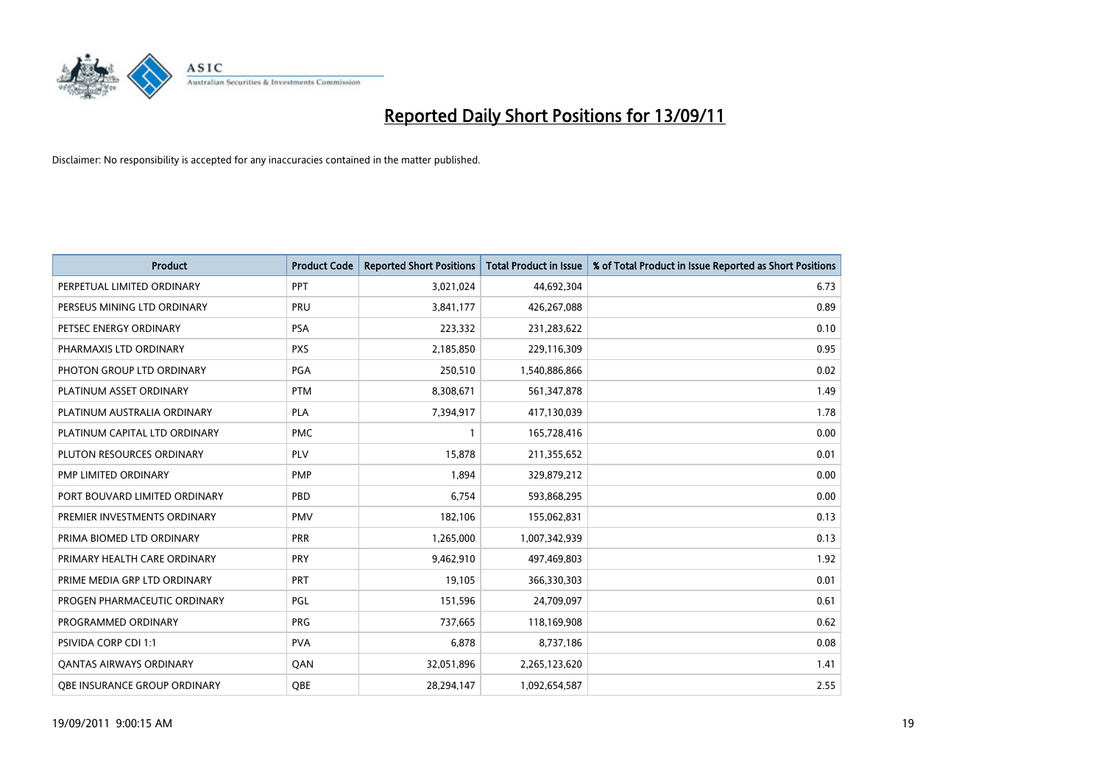

| <b>Product</b>                 | <b>Product Code</b> | <b>Reported Short Positions</b> | Total Product in Issue | % of Total Product in Issue Reported as Short Positions |
|--------------------------------|---------------------|---------------------------------|------------------------|---------------------------------------------------------|
| PERPETUAL LIMITED ORDINARY     | PPT                 | 3,021,024                       | 44,692,304             | 6.73                                                    |
| PERSEUS MINING LTD ORDINARY    | PRU                 | 3,841,177                       | 426,267,088            | 0.89                                                    |
| PETSEC ENERGY ORDINARY         | PSA                 | 223,332                         | 231,283,622            | 0.10                                                    |
| PHARMAXIS LTD ORDINARY         | <b>PXS</b>          | 2,185,850                       | 229,116,309            | 0.95                                                    |
| PHOTON GROUP LTD ORDINARY      | PGA                 | 250,510                         | 1,540,886,866          | 0.02                                                    |
| PLATINUM ASSET ORDINARY        | <b>PTM</b>          | 8,308,671                       | 561,347,878            | 1.49                                                    |
| PLATINUM AUSTRALIA ORDINARY    | <b>PLA</b>          | 7,394,917                       | 417,130,039            | 1.78                                                    |
| PLATINUM CAPITAL LTD ORDINARY  | <b>PMC</b>          |                                 | 165,728,416            | 0.00                                                    |
| PLUTON RESOURCES ORDINARY      | PLV                 | 15,878                          | 211,355,652            | 0.01                                                    |
| PMP LIMITED ORDINARY           | <b>PMP</b>          | 1,894                           | 329,879,212            | 0.00                                                    |
| PORT BOUVARD LIMITED ORDINARY  | PBD                 | 6,754                           | 593,868,295            | 0.00                                                    |
| PREMIER INVESTMENTS ORDINARY   | <b>PMV</b>          | 182,106                         | 155,062,831            | 0.13                                                    |
| PRIMA BIOMED LTD ORDINARY      | PRR                 | 1,265,000                       | 1,007,342,939          | 0.13                                                    |
| PRIMARY HEALTH CARE ORDINARY   | PRY                 | 9,462,910                       | 497,469,803            | 1.92                                                    |
| PRIME MEDIA GRP LTD ORDINARY   | PRT                 | 19,105                          | 366,330,303            | 0.01                                                    |
| PROGEN PHARMACEUTIC ORDINARY   | <b>PGL</b>          | 151,596                         | 24,709,097             | 0.61                                                    |
| PROGRAMMED ORDINARY            | <b>PRG</b>          | 737,665                         | 118,169,908            | 0.62                                                    |
| <b>PSIVIDA CORP CDI 1:1</b>    | <b>PVA</b>          | 6,878                           | 8,737,186              | 0.08                                                    |
| <b>QANTAS AIRWAYS ORDINARY</b> | QAN                 | 32,051,896                      | 2,265,123,620          | 1.41                                                    |
| OBE INSURANCE GROUP ORDINARY   | QBE                 | 28,294,147                      | 1,092,654,587          | 2.55                                                    |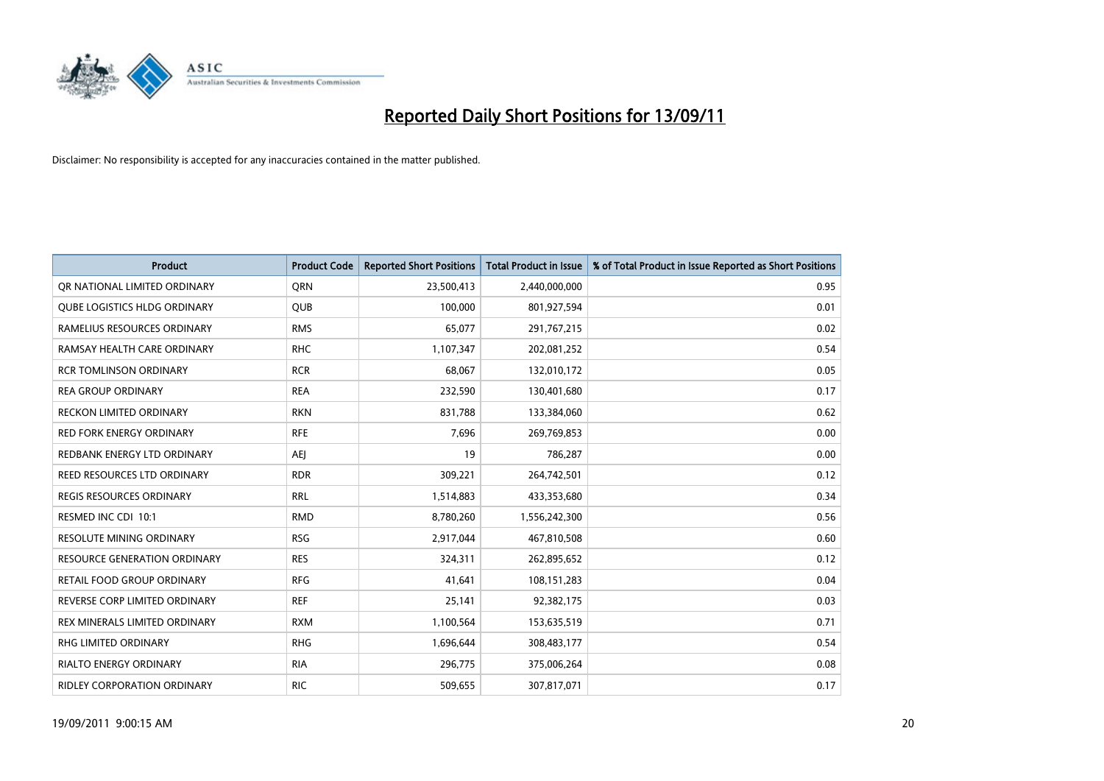

| <b>Product</b>                    | <b>Product Code</b> | <b>Reported Short Positions</b> | Total Product in Issue | % of Total Product in Issue Reported as Short Positions |
|-----------------------------------|---------------------|---------------------------------|------------------------|---------------------------------------------------------|
| OR NATIONAL LIMITED ORDINARY      | <b>ORN</b>          | 23,500,413                      | 2,440,000,000          | 0.95                                                    |
| QUBE LOGISTICS HLDG ORDINARY      | <b>QUB</b>          | 100,000                         | 801,927,594            | 0.01                                                    |
| RAMELIUS RESOURCES ORDINARY       | <b>RMS</b>          | 65,077                          | 291,767,215            | 0.02                                                    |
| RAMSAY HEALTH CARE ORDINARY       | <b>RHC</b>          | 1,107,347                       | 202,081,252            | 0.54                                                    |
| <b>RCR TOMLINSON ORDINARY</b>     | <b>RCR</b>          | 68,067                          | 132,010,172            | 0.05                                                    |
| <b>REA GROUP ORDINARY</b>         | <b>REA</b>          | 232,590                         | 130,401,680            | 0.17                                                    |
| <b>RECKON LIMITED ORDINARY</b>    | <b>RKN</b>          | 831,788                         | 133,384,060            | 0.62                                                    |
| <b>RED FORK ENERGY ORDINARY</b>   | <b>RFE</b>          | 7,696                           | 269,769,853            | 0.00                                                    |
| REDBANK ENERGY LTD ORDINARY       | <b>AEI</b>          | 19                              | 786,287                | 0.00                                                    |
| REED RESOURCES LTD ORDINARY       | <b>RDR</b>          | 309,221                         | 264,742,501            | 0.12                                                    |
| <b>REGIS RESOURCES ORDINARY</b>   | <b>RRL</b>          | 1,514,883                       | 433,353,680            | 0.34                                                    |
| RESMED INC CDI 10:1               | <b>RMD</b>          | 8,780,260                       | 1,556,242,300          | 0.56                                                    |
| <b>RESOLUTE MINING ORDINARY</b>   | <b>RSG</b>          | 2,917,044                       | 467,810,508            | 0.60                                                    |
| RESOURCE GENERATION ORDINARY      | <b>RES</b>          | 324,311                         | 262,895,652            | 0.12                                                    |
| <b>RETAIL FOOD GROUP ORDINARY</b> | <b>RFG</b>          | 41,641                          | 108,151,283            | 0.04                                                    |
| REVERSE CORP LIMITED ORDINARY     | <b>REF</b>          | 25,141                          | 92,382,175             | 0.03                                                    |
| REX MINERALS LIMITED ORDINARY     | <b>RXM</b>          | 1,100,564                       | 153,635,519            | 0.71                                                    |
| RHG LIMITED ORDINARY              | <b>RHG</b>          | 1,696,644                       | 308,483,177            | 0.54                                                    |
| <b>RIALTO ENERGY ORDINARY</b>     | <b>RIA</b>          | 296,775                         | 375,006,264            | 0.08                                                    |
| RIDLEY CORPORATION ORDINARY       | <b>RIC</b>          | 509,655                         | 307,817,071            | 0.17                                                    |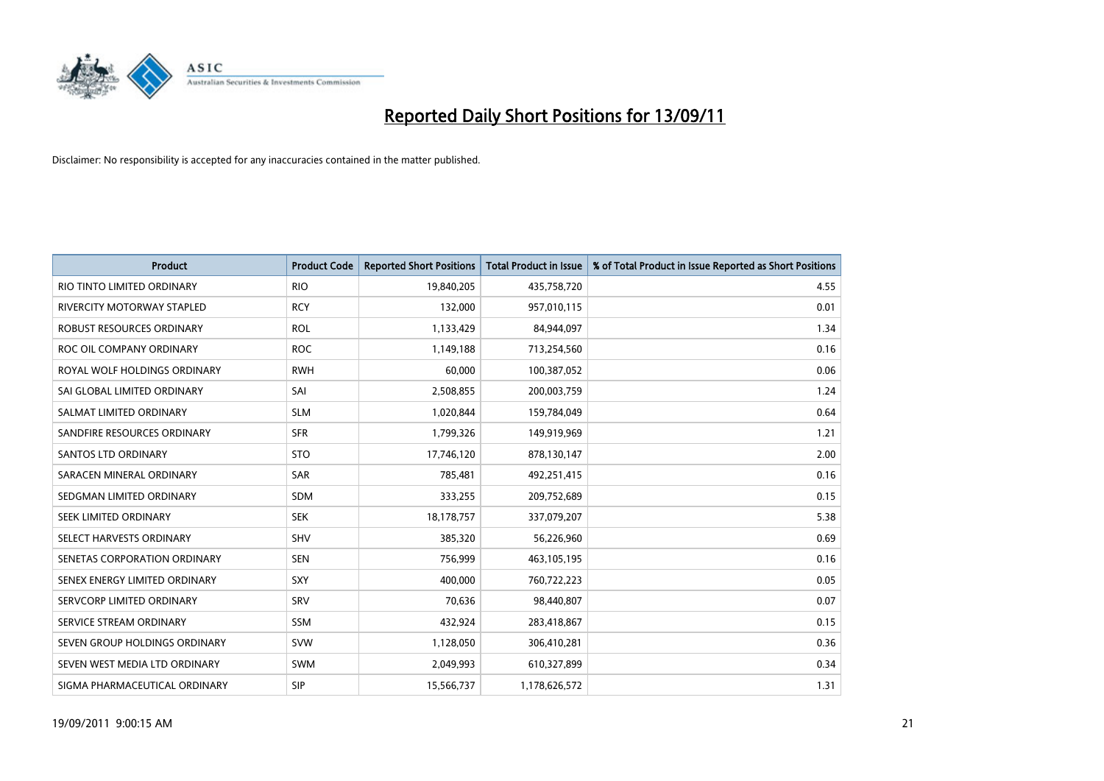

| <b>Product</b>                | <b>Product Code</b> | <b>Reported Short Positions</b> | <b>Total Product in Issue</b> | % of Total Product in Issue Reported as Short Positions |
|-------------------------------|---------------------|---------------------------------|-------------------------------|---------------------------------------------------------|
| RIO TINTO LIMITED ORDINARY    | <b>RIO</b>          | 19,840,205                      | 435,758,720                   | 4.55                                                    |
| RIVERCITY MOTORWAY STAPLED    | <b>RCY</b>          | 132,000                         | 957,010,115                   | 0.01                                                    |
| ROBUST RESOURCES ORDINARY     | <b>ROL</b>          | 1,133,429                       | 84,944,097                    | 1.34                                                    |
| ROC OIL COMPANY ORDINARY      | <b>ROC</b>          | 1,149,188                       | 713,254,560                   | 0.16                                                    |
| ROYAL WOLF HOLDINGS ORDINARY  | <b>RWH</b>          | 60,000                          | 100,387,052                   | 0.06                                                    |
| SAI GLOBAL LIMITED ORDINARY   | SAI                 | 2,508,855                       | 200,003,759                   | 1.24                                                    |
| SALMAT LIMITED ORDINARY       | <b>SLM</b>          | 1,020,844                       | 159,784,049                   | 0.64                                                    |
| SANDFIRE RESOURCES ORDINARY   | <b>SFR</b>          | 1,799,326                       | 149,919,969                   | 1.21                                                    |
| SANTOS LTD ORDINARY           | <b>STO</b>          | 17,746,120                      | 878,130,147                   | 2.00                                                    |
| SARACEN MINERAL ORDINARY      | <b>SAR</b>          | 785,481                         | 492,251,415                   | 0.16                                                    |
| SEDGMAN LIMITED ORDINARY      | <b>SDM</b>          | 333,255                         | 209,752,689                   | 0.15                                                    |
| <b>SEEK LIMITED ORDINARY</b>  | <b>SEK</b>          | 18,178,757                      | 337,079,207                   | 5.38                                                    |
| SELECT HARVESTS ORDINARY      | <b>SHV</b>          | 385,320                         | 56,226,960                    | 0.69                                                    |
| SENETAS CORPORATION ORDINARY  | <b>SEN</b>          | 756,999                         | 463,105,195                   | 0.16                                                    |
| SENEX ENERGY LIMITED ORDINARY | SXY                 | 400.000                         | 760,722,223                   | 0.05                                                    |
| SERVCORP LIMITED ORDINARY     | SRV                 | 70,636                          | 98,440,807                    | 0.07                                                    |
| SERVICE STREAM ORDINARY       | <b>SSM</b>          | 432,924                         | 283,418,867                   | 0.15                                                    |
| SEVEN GROUP HOLDINGS ORDINARY | <b>SVW</b>          | 1,128,050                       | 306,410,281                   | 0.36                                                    |
| SEVEN WEST MEDIA LTD ORDINARY | <b>SWM</b>          | 2,049,993                       | 610,327,899                   | 0.34                                                    |
| SIGMA PHARMACEUTICAL ORDINARY | <b>SIP</b>          | 15,566,737                      | 1,178,626,572                 | 1.31                                                    |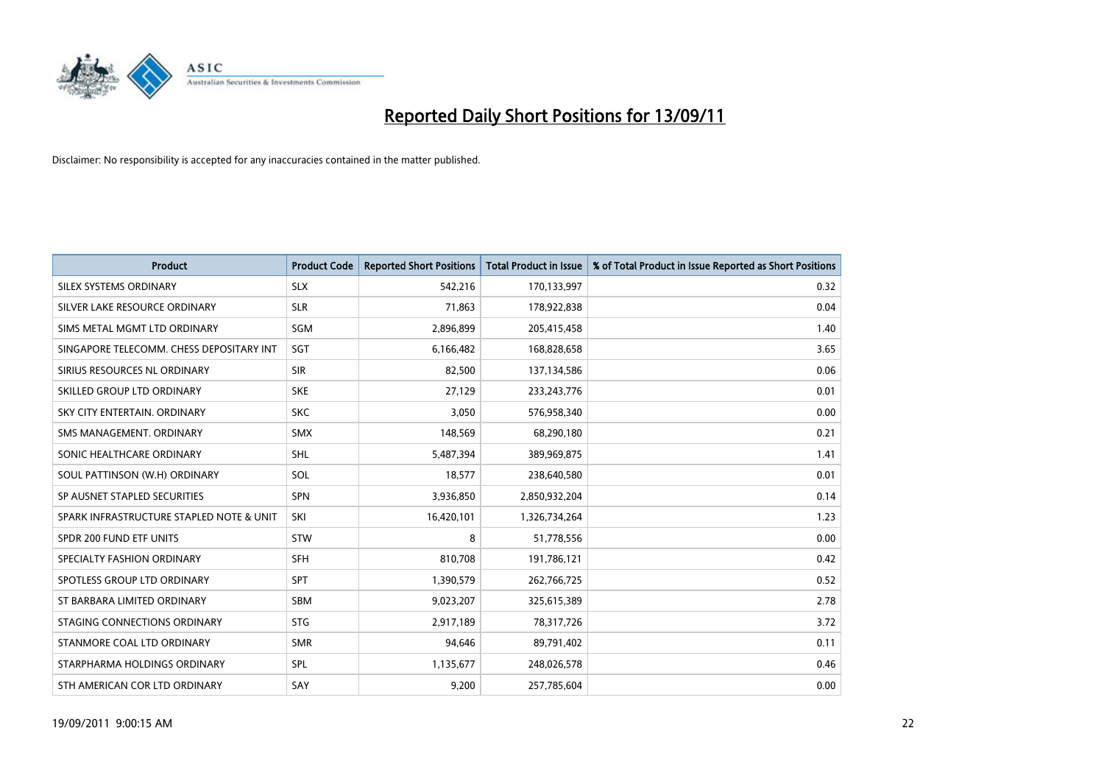

| <b>Product</b>                           | <b>Product Code</b> | <b>Reported Short Positions</b> | Total Product in Issue | % of Total Product in Issue Reported as Short Positions |
|------------------------------------------|---------------------|---------------------------------|------------------------|---------------------------------------------------------|
| SILEX SYSTEMS ORDINARY                   | <b>SLX</b>          | 542,216                         | 170,133,997            | 0.32                                                    |
| SILVER LAKE RESOURCE ORDINARY            | <b>SLR</b>          | 71,863                          | 178,922,838            | 0.04                                                    |
| SIMS METAL MGMT LTD ORDINARY             | SGM                 | 2,896,899                       | 205,415,458            | 1.40                                                    |
| SINGAPORE TELECOMM. CHESS DEPOSITARY INT | <b>SGT</b>          | 6,166,482                       | 168,828,658            | 3.65                                                    |
| SIRIUS RESOURCES NL ORDINARY             | <b>SIR</b>          | 82,500                          | 137,134,586            | 0.06                                                    |
| SKILLED GROUP LTD ORDINARY               | <b>SKE</b>          | 27,129                          | 233, 243, 776          | 0.01                                                    |
| SKY CITY ENTERTAIN, ORDINARY             | <b>SKC</b>          | 3,050                           | 576,958,340            | 0.00                                                    |
| SMS MANAGEMENT, ORDINARY                 | <b>SMX</b>          | 148,569                         | 68,290,180             | 0.21                                                    |
| SONIC HEALTHCARE ORDINARY                | <b>SHL</b>          | 5,487,394                       | 389,969,875            | 1.41                                                    |
| SOUL PATTINSON (W.H) ORDINARY            | SOL                 | 18,577                          | 238,640,580            | 0.01                                                    |
| SP AUSNET STAPLED SECURITIES             | <b>SPN</b>          | 3,936,850                       | 2,850,932,204          | 0.14                                                    |
| SPARK INFRASTRUCTURE STAPLED NOTE & UNIT | SKI                 | 16,420,101                      | 1,326,734,264          | 1.23                                                    |
| SPDR 200 FUND ETF UNITS                  | <b>STW</b>          | 8                               | 51,778,556             | 0.00                                                    |
| SPECIALTY FASHION ORDINARY               | <b>SFH</b>          | 810,708                         | 191,786,121            | 0.42                                                    |
| SPOTLESS GROUP LTD ORDINARY              | <b>SPT</b>          | 1,390,579                       | 262,766,725            | 0.52                                                    |
| ST BARBARA LIMITED ORDINARY              | <b>SBM</b>          | 9,023,207                       | 325,615,389            | 2.78                                                    |
| STAGING CONNECTIONS ORDINARY             | <b>STG</b>          | 2,917,189                       | 78,317,726             | 3.72                                                    |
| STANMORE COAL LTD ORDINARY               | <b>SMR</b>          | 94,646                          | 89,791,402             | 0.11                                                    |
| STARPHARMA HOLDINGS ORDINARY             | SPL                 | 1,135,677                       | 248,026,578            | 0.46                                                    |
| STH AMERICAN COR LTD ORDINARY            | SAY                 | 9,200                           | 257,785,604            | 0.00                                                    |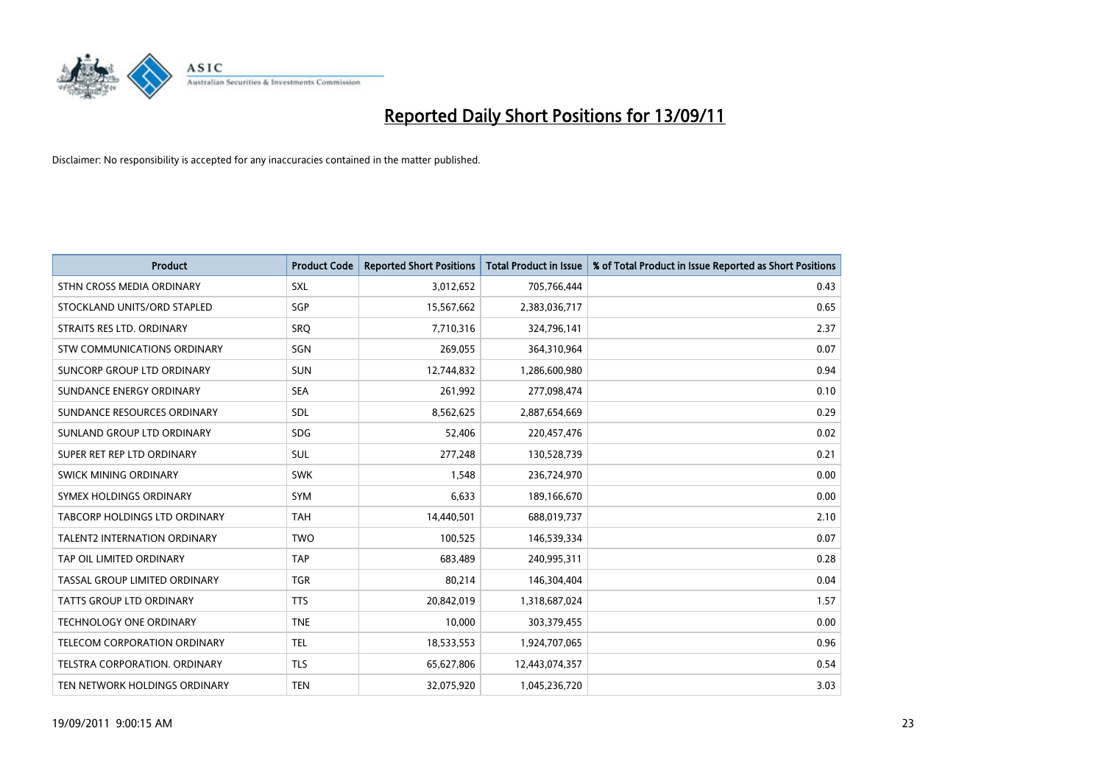

| <b>Product</b>                      | <b>Product Code</b> | <b>Reported Short Positions</b> | Total Product in Issue | % of Total Product in Issue Reported as Short Positions |
|-------------------------------------|---------------------|---------------------------------|------------------------|---------------------------------------------------------|
| STHN CROSS MEDIA ORDINARY           | SXL                 | 3,012,652                       | 705,766,444            | 0.43                                                    |
| STOCKLAND UNITS/ORD STAPLED         | <b>SGP</b>          | 15,567,662                      | 2,383,036,717          | 0.65                                                    |
| STRAITS RES LTD. ORDINARY           | SRQ                 | 7,710,316                       | 324,796,141            | 2.37                                                    |
| STW COMMUNICATIONS ORDINARY         | SGN                 | 269,055                         | 364,310,964            | 0.07                                                    |
| <b>SUNCORP GROUP LTD ORDINARY</b>   | <b>SUN</b>          | 12,744,832                      | 1,286,600,980          | 0.94                                                    |
| SUNDANCE ENERGY ORDINARY            | <b>SEA</b>          | 261,992                         | 277,098,474            | 0.10                                                    |
| SUNDANCE RESOURCES ORDINARY         | <b>SDL</b>          | 8,562,625                       | 2,887,654,669          | 0.29                                                    |
| SUNLAND GROUP LTD ORDINARY          | <b>SDG</b>          | 52,406                          | 220,457,476            | 0.02                                                    |
| SUPER RET REP LTD ORDINARY          | SUL                 | 277,248                         | 130,528,739            | 0.21                                                    |
| SWICK MINING ORDINARY               | <b>SWK</b>          | 1.548                           | 236,724,970            | 0.00                                                    |
| SYMEX HOLDINGS ORDINARY             | <b>SYM</b>          | 6.633                           | 189,166,670            | 0.00                                                    |
| TABCORP HOLDINGS LTD ORDINARY       | <b>TAH</b>          | 14,440,501                      | 688,019,737            | 2.10                                                    |
| <b>TALENT2 INTERNATION ORDINARY</b> | <b>TWO</b>          | 100,525                         | 146,539,334            | 0.07                                                    |
| TAP OIL LIMITED ORDINARY            | <b>TAP</b>          | 683.489                         | 240,995,311            | 0.28                                                    |
| TASSAL GROUP LIMITED ORDINARY       | <b>TGR</b>          | 80,214                          | 146,304,404            | 0.04                                                    |
| <b>TATTS GROUP LTD ORDINARY</b>     | <b>TTS</b>          | 20,842,019                      | 1,318,687,024          | 1.57                                                    |
| <b>TECHNOLOGY ONE ORDINARY</b>      | <b>TNE</b>          | 10,000                          | 303,379,455            | 0.00                                                    |
| TELECOM CORPORATION ORDINARY        | <b>TEL</b>          | 18,533,553                      | 1,924,707,065          | 0.96                                                    |
| TELSTRA CORPORATION, ORDINARY       | <b>TLS</b>          | 65,627,806                      | 12,443,074,357         | 0.54                                                    |
| TEN NETWORK HOLDINGS ORDINARY       | <b>TEN</b>          | 32,075,920                      | 1,045,236,720          | 3.03                                                    |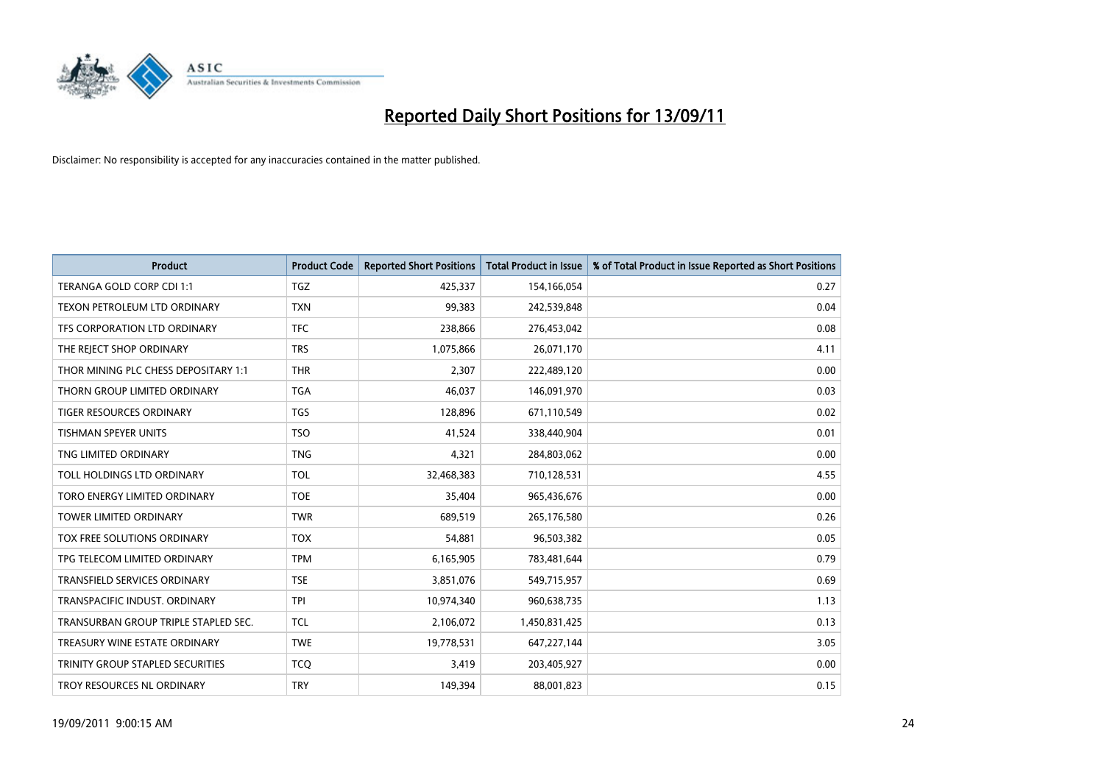

| <b>Product</b>                       | <b>Product Code</b> | <b>Reported Short Positions</b> | Total Product in Issue | % of Total Product in Issue Reported as Short Positions |
|--------------------------------------|---------------------|---------------------------------|------------------------|---------------------------------------------------------|
| TERANGA GOLD CORP CDI 1:1            | <b>TGZ</b>          | 425,337                         | 154,166,054            | 0.27                                                    |
| TEXON PETROLEUM LTD ORDINARY         | <b>TXN</b>          | 99,383                          | 242,539,848            | 0.04                                                    |
| TFS CORPORATION LTD ORDINARY         | <b>TFC</b>          | 238,866                         | 276,453,042            | 0.08                                                    |
| THE REJECT SHOP ORDINARY             | <b>TRS</b>          | 1,075,866                       | 26,071,170             | 4.11                                                    |
| THOR MINING PLC CHESS DEPOSITARY 1:1 | <b>THR</b>          | 2,307                           | 222,489,120            | 0.00                                                    |
| THORN GROUP LIMITED ORDINARY         | <b>TGA</b>          | 46,037                          | 146,091,970            | 0.03                                                    |
| <b>TIGER RESOURCES ORDINARY</b>      | <b>TGS</b>          | 128,896                         | 671,110,549            | 0.02                                                    |
| TISHMAN SPEYER UNITS                 | <b>TSO</b>          | 41,524                          | 338,440,904            | 0.01                                                    |
| TNG LIMITED ORDINARY                 | <b>TNG</b>          | 4,321                           | 284,803,062            | 0.00                                                    |
| TOLL HOLDINGS LTD ORDINARY           | <b>TOL</b>          | 32,468,383                      | 710,128,531            | 4.55                                                    |
| TORO ENERGY LIMITED ORDINARY         | <b>TOE</b>          | 35,404                          | 965,436,676            | 0.00                                                    |
| <b>TOWER LIMITED ORDINARY</b>        | <b>TWR</b>          | 689,519                         | 265,176,580            | 0.26                                                    |
| <b>TOX FREE SOLUTIONS ORDINARY</b>   | <b>TOX</b>          | 54,881                          | 96,503,382             | 0.05                                                    |
| TPG TELECOM LIMITED ORDINARY         | <b>TPM</b>          | 6,165,905                       | 783,481,644            | 0.79                                                    |
| <b>TRANSFIELD SERVICES ORDINARY</b>  | <b>TSE</b>          | 3,851,076                       | 549,715,957            | 0.69                                                    |
| TRANSPACIFIC INDUST. ORDINARY        | <b>TPI</b>          | 10,974,340                      | 960,638,735            | 1.13                                                    |
| TRANSURBAN GROUP TRIPLE STAPLED SEC. | <b>TCL</b>          | 2,106,072                       | 1,450,831,425          | 0.13                                                    |
| TREASURY WINE ESTATE ORDINARY        | <b>TWE</b>          | 19,778,531                      | 647,227,144            | 3.05                                                    |
| TRINITY GROUP STAPLED SECURITIES     | <b>TCQ</b>          | 3,419                           | 203,405,927            | 0.00                                                    |
| TROY RESOURCES NL ORDINARY           | <b>TRY</b>          | 149,394                         | 88,001,823             | 0.15                                                    |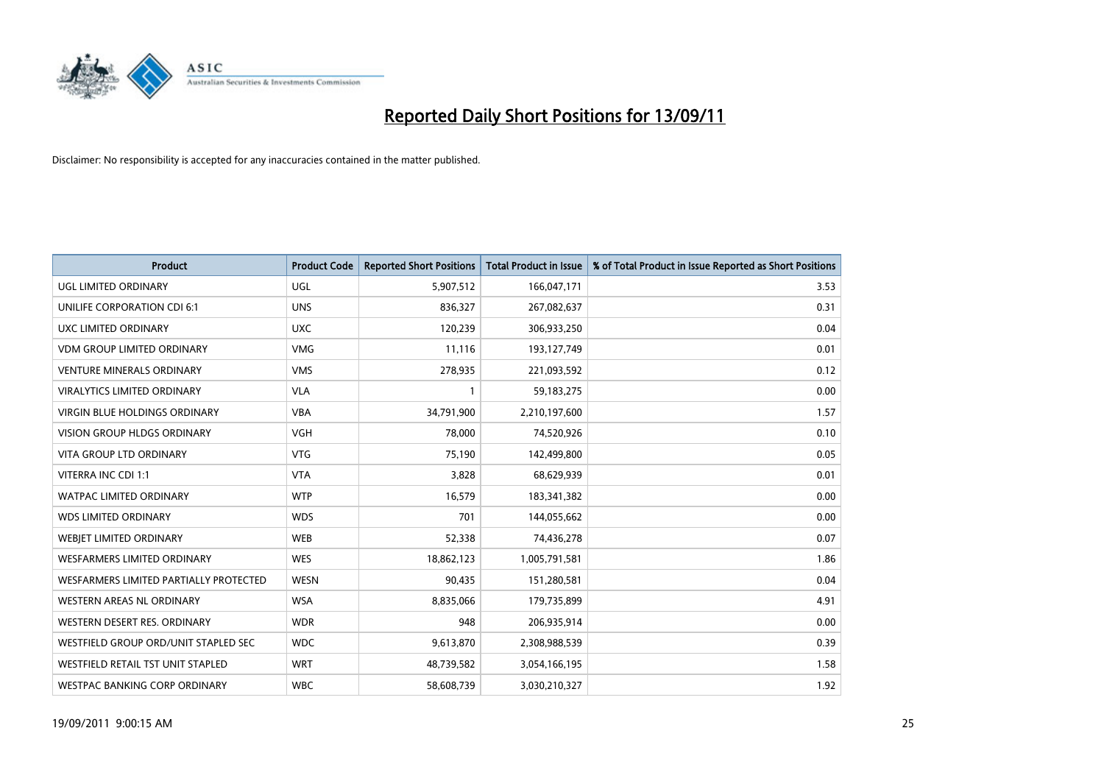

| <b>Product</b>                         | <b>Product Code</b> | <b>Reported Short Positions</b> | Total Product in Issue | % of Total Product in Issue Reported as Short Positions |
|----------------------------------------|---------------------|---------------------------------|------------------------|---------------------------------------------------------|
| UGL LIMITED ORDINARY                   | <b>UGL</b>          | 5,907,512                       | 166,047,171            | 3.53                                                    |
| UNILIFE CORPORATION CDI 6:1            | <b>UNS</b>          | 836,327                         | 267,082,637            | 0.31                                                    |
| UXC LIMITED ORDINARY                   | <b>UXC</b>          | 120,239                         | 306,933,250            | 0.04                                                    |
| <b>VDM GROUP LIMITED ORDINARY</b>      | <b>VMG</b>          | 11,116                          | 193,127,749            | 0.01                                                    |
| <b>VENTURE MINERALS ORDINARY</b>       | <b>VMS</b>          | 278,935                         | 221,093,592            | 0.12                                                    |
| <b>VIRALYTICS LIMITED ORDINARY</b>     | <b>VLA</b>          |                                 | 59,183,275             | 0.00                                                    |
| <b>VIRGIN BLUE HOLDINGS ORDINARY</b>   | <b>VBA</b>          | 34,791,900                      | 2,210,197,600          | 1.57                                                    |
| <b>VISION GROUP HLDGS ORDINARY</b>     | <b>VGH</b>          | 78,000                          | 74,520,926             | 0.10                                                    |
| VITA GROUP LTD ORDINARY                | <b>VTG</b>          | 75,190                          | 142,499,800            | 0.05                                                    |
| VITERRA INC CDI 1:1                    | <b>VTA</b>          | 3,828                           | 68,629,939             | 0.01                                                    |
| <b>WATPAC LIMITED ORDINARY</b>         | <b>WTP</b>          | 16,579                          | 183,341,382            | 0.00                                                    |
| <b>WDS LIMITED ORDINARY</b>            | <b>WDS</b>          | 701                             | 144,055,662            | 0.00                                                    |
| WEBJET LIMITED ORDINARY                | <b>WEB</b>          | 52,338                          | 74,436,278             | 0.07                                                    |
| <b>WESFARMERS LIMITED ORDINARY</b>     | <b>WES</b>          | 18,862,123                      | 1,005,791,581          | 1.86                                                    |
| WESFARMERS LIMITED PARTIALLY PROTECTED | <b>WESN</b>         | 90,435                          | 151,280,581            | 0.04                                                    |
| <b>WESTERN AREAS NL ORDINARY</b>       | <b>WSA</b>          | 8,835,066                       | 179,735,899            | 4.91                                                    |
| WESTERN DESERT RES. ORDINARY           | <b>WDR</b>          | 948                             | 206,935,914            | 0.00                                                    |
| WESTFIELD GROUP ORD/UNIT STAPLED SEC   | <b>WDC</b>          | 9,613,870                       | 2,308,988,539          | 0.39                                                    |
| WESTFIELD RETAIL TST UNIT STAPLED      | <b>WRT</b>          | 48,739,582                      | 3,054,166,195          | 1.58                                                    |
| WESTPAC BANKING CORP ORDINARY          | <b>WBC</b>          | 58,608,739                      | 3,030,210,327          | 1.92                                                    |